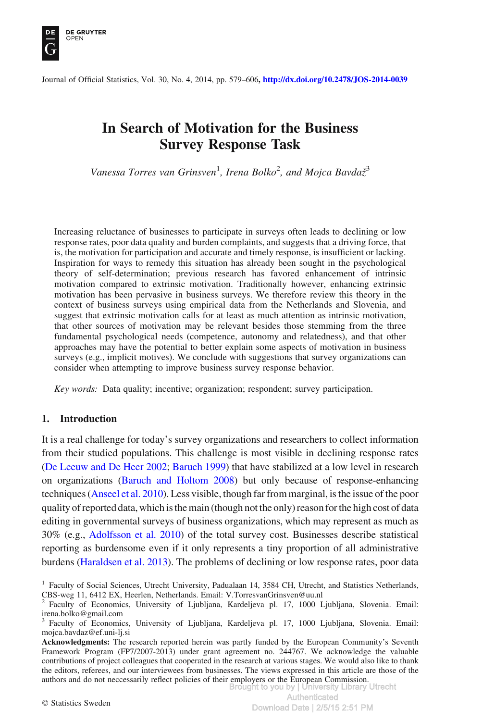

Journal of Official Statistics, Vol. 30, No. 4, 2014, pp. 579–606, <http://dx.doi.org/10.2478/JOS-2014-0039>

# In Search of Motivation for the Business Survey Response Task

Vanessa Torres van Grinsven<sup>1</sup>, Irena Bolko<sup>2</sup>, and Mojca Bavda $\tilde{z}^3$ 

Increasing reluctance of businesses to participate in surveys often leads to declining or low response rates, poor data quality and burden complaints, and suggests that a driving force, that is, the motivation for participation and accurate and timely response, is insufficient or lacking. Inspiration for ways to remedy this situation has already been sought in the psychological theory of self-determination; previous research has favored enhancement of intrinsic motivation compared to extrinsic motivation. Traditionally however, enhancing extrinsic motivation has been pervasive in business surveys. We therefore review this theory in the context of business surveys using empirical data from the Netherlands and Slovenia, and suggest that extrinsic motivation calls for at least as much attention as intrinsic motivation, that other sources of motivation may be relevant besides those stemming from the three fundamental psychological needs (competence, autonomy and relatedness), and that other approaches may have the potential to better explain some aspects of motivation in business surveys (e.g., implicit motives). We conclude with suggestions that survey organizations can consider when attempting to improve business survey response behavior.

Key words: Data quality; incentive; organization; respondent; survey participation.

## 1. Introduction

It is a real challenge for today's survey organizations and researchers to collect information from their studied populations. This challenge is most visible in declining response rates (De Leeuw and De Heer 2002; Baruch 1999) that have stabilized at a low level in research on organizations (Baruch and Holtom 2008) but only because of response-enhancing techniques (Anseel et al. 2010). Less visible, though far from marginal, is the issue of the poor quality of reported data, which is the main (though not the only) reason for the high cost of data editing in governmental surveys of business organizations, which may represent as much as 30% (e.g., Adolfsson et al. 2010) of the total survey cost. Businesses describe statistical reporting as burdensome even if it only represents a tiny proportion of all administrative burdens (Haraldsen et al. 2013). The problems of declining or low response rates, poor data

<sup>&</sup>lt;sup>1</sup> Faculty of Social Sciences, Utrecht University, Padualaan 14, 3584 CH, Utrecht, and Statistics Netherlands, CBS-weg 11, 6412 EX, Heerlen, Netherlands. Email: V.TorresvanGrinsven@uu.nl

<sup>2</sup> Faculty of Economics, University of Ljubljana, Kardeljeva pl. 17, 1000 Ljubljana, Slovenia. Email: irena.bolko@gmail.com

<sup>3</sup> Faculty of Economics, University of Ljubljana, Kardeljeva pl. 17, 1000 Ljubljana, Slovenia. Email: mojca.bavdaz@ef.uni-lj.si

Acknowledgments: The research reported herein was partly funded by the European Community's Seventh Framework Program (FP7/2007-2013) under grant agreement no. 244767. We acknowledge the valuable contributions of project colleagues that cooperated in the research at various stages. We would also like to thank the editors, referees, and our interviewees from businesses. The views expressed in this article are those of the authors and do not neccessarily reflect policies of their employers or the European Commission.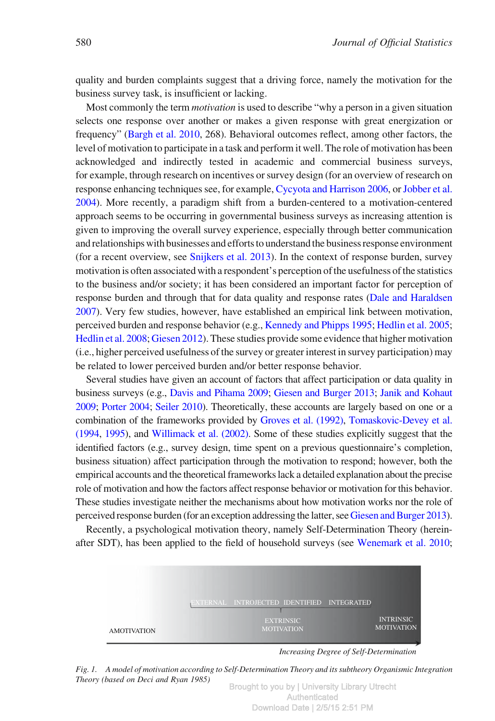quality and burden complaints suggest that a driving force, namely the motivation for the business survey task, is insufficient or lacking.

Most commonly the term *motivation* is used to describe "why a person in a given situation selects one response over another or makes a given response with great energization or frequency" (Bargh et al. 2010, 268). Behavioral outcomes reflect, among other factors, the level of motivation to participate in a task and perform it well. The role of motivation has been acknowledged and indirectly tested in academic and commercial business surveys, for example, through research on incentives or survey design (for an overview of research on response enhancing techniques see, for example, Cycyota and Harrison 2006, orJobber et al. 2004). More recently, a paradigm shift from a burden-centered to a motivation-centered approach seems to be occurring in governmental business surveys as increasing attention is given to improving the overall survey experience, especially through better communication and relationships with businesses and efforts to understand the business response environment (for a recent overview, see Snijkers et al. 2013). In the context of response burden, survey motivation is often associated with a respondent's perception of the usefulness of the statistics to the business and/or society; it has been considered an important factor for perception of response burden and through that for data quality and response rates (Dale and Haraldsen 2007). Very few studies, however, have established an empirical link between motivation, perceived burden and response behavior (e.g., Kennedy and Phipps 1995; Hedlin et al. 2005; Hedlin et al. 2008; Giesen 2012). These studies provide some evidence that higher motivation (i.e., higher perceived usefulness of the survey or greater interest in survey participation) may be related to lower perceived burden and/or better response behavior.

Several studies have given an account of factors that affect participation or data quality in business surveys (e.g., Davis and Pihama 2009; Giesen and Burger 2013; Janik and Kohaut 2009; Porter 2004; Seiler 2010). Theoretically, these accounts are largely based on one or a combination of the frameworks provided by Groves et al. (1992), Tomaskovic-Devey et al. (1994, 1995), and Willimack et al. (2002). Some of these studies explicitly suggest that the identified factors (e.g., survey design, time spent on a previous questionnaire's completion, business situation) affect participation through the motivation to respond; however, both the empirical accounts and the theoretical frameworks lack a detailed explanation about the precise role of motivation and how the factors affect response behavior or motivation for this behavior. These studies investigate neither the mechanisms about how motivation works nor the role of perceived response burden (for an exception addressing the latter, see Giesen and Burger 2013).

Recently, a psychological motivation theory, namely Self-Determination Theory (hereinafter SDT), has been applied to the field of household surveys (see Wenemark et al. 2010;



*Increasing Degree of Self-Determination*

Fig. 1. A model of motivation according to Self-Determination Theory and its subtheory Organismic Integration Theory (based on Deci and Ryan 1985)

Brought to you by | University Library Utrecht Authenticated Download Date | 2/5/15 2:51 PM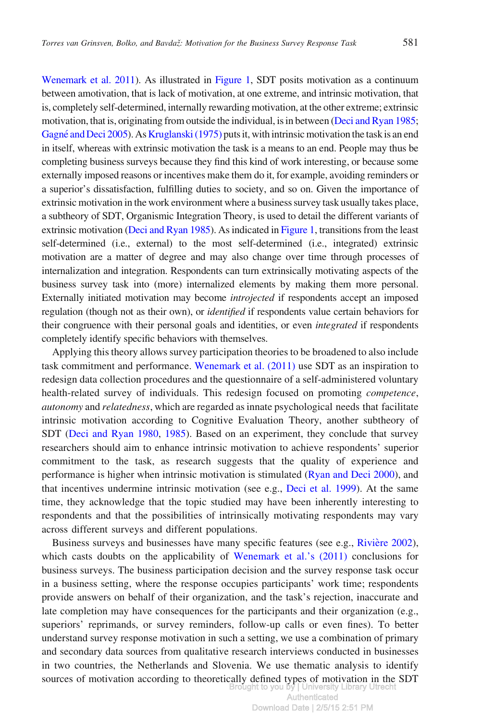Wenemark et al. 2011). As illustrated in Figure 1, SDT posits motivation as a continuum between amotivation, that is lack of motivation, at one extreme, and intrinsic motivation, that is, completely self-determined, internally rewarding motivation, at the other extreme; extrinsic motivation, that is, originating from outside the individual, is in between (Deci and Ryan 1985; Gagné and Deci 2005). As Kruglanski (1975) puts it, with intrinsic motivation the task is an end in itself, whereas with extrinsic motivation the task is a means to an end. People may thus be completing business surveys because they find this kind of work interesting, or because some externally imposed reasons or incentives make them do it, for example, avoiding reminders or a superior's dissatisfaction, fulfilling duties to society, and so on. Given the importance of extrinsic motivation in the work environment where a business survey task usually takes place, a subtheory of SDT, Organismic Integration Theory, is used to detail the different variants of extrinsic motivation (Deci and Ryan 1985). As indicated in Figure 1, transitions from the least self-determined (i.e., external) to the most self-determined (i.e., integrated) extrinsic motivation are a matter of degree and may also change over time through processes of internalization and integration. Respondents can turn extrinsically motivating aspects of the business survey task into (more) internalized elements by making them more personal. Externally initiated motivation may become introjected if respondents accept an imposed regulation (though not as their own), or identified if respondents value certain behaviors for their congruence with their personal goals and identities, or even *integrated* if respondents completely identify specific behaviors with themselves.

Applying this theory allows survey participation theories to be broadened to also include task commitment and performance. Wenemark et al. (2011) use SDT as an inspiration to redesign data collection procedures and the questionnaire of a self-administered voluntary health-related survey of individuals. This redesign focused on promoting competence, autonomy and relatedness, which are regarded as innate psychological needs that facilitate intrinsic motivation according to Cognitive Evaluation Theory, another subtheory of SDT (Deci and Ryan 1980, 1985). Based on an experiment, they conclude that survey researchers should aim to enhance intrinsic motivation to achieve respondents' superior commitment to the task, as research suggests that the quality of experience and performance is higher when intrinsic motivation is stimulated (Ryan and Deci 2000), and that incentives undermine intrinsic motivation (see e.g., Deci et al. 1999). At the same time, they acknowledge that the topic studied may have been inherently interesting to respondents and that the possibilities of intrinsically motivating respondents may vary across different surveys and different populations.

Business surveys and businesses have many specific features (see e.g., Rivière 2002), which casts doubts on the applicability of Wenemark et al.'s (2011) conclusions for business surveys. The business participation decision and the survey response task occur in a business setting, where the response occupies participants' work time; respondents provide answers on behalf of their organization, and the task's rejection, inaccurate and late completion may have consequences for the participants and their organization (e.g., superiors' reprimands, or survey reminders, follow-up calls or even fines). To better understand survey response motivation in such a setting, we use a combination of primary and secondary data sources from qualitative research interviews conducted in businesses in two countries, the Netherlands and Slovenia. We use thematic analysis to identify sources of motivation according to theoretically defined types of motivation in the SDT Brought to you by | University Library Utrech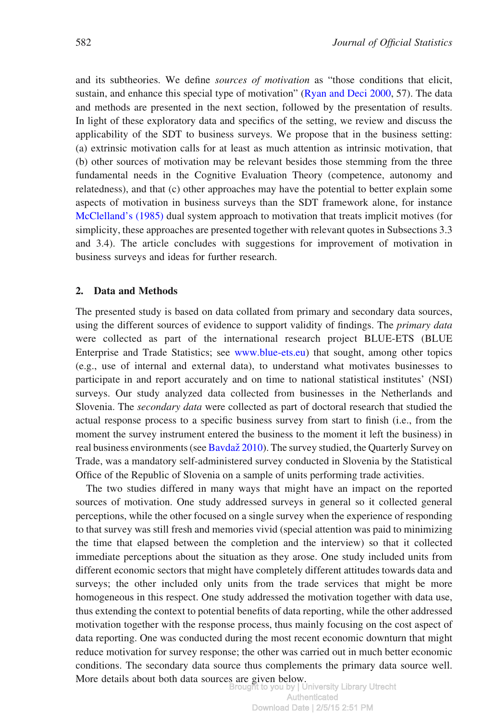and its subtheories. We define *sources of motivation* as "those conditions that elicit, sustain, and enhance this special type of motivation" (Ryan and Deci 2000, 57). The data and methods are presented in the next section, followed by the presentation of results. In light of these exploratory data and specifics of the setting, we review and discuss the applicability of the SDT to business surveys. We propose that in the business setting: (a) extrinsic motivation calls for at least as much attention as intrinsic motivation, that (b) other sources of motivation may be relevant besides those stemming from the three fundamental needs in the Cognitive Evaluation Theory (competence, autonomy and relatedness), and that (c) other approaches may have the potential to better explain some aspects of motivation in business surveys than the SDT framework alone, for instance McClelland's (1985) dual system approach to motivation that treats implicit motives (for simplicity, these approaches are presented together with relevant quotes in Subsections 3.3 and 3.4). The article concludes with suggestions for improvement of motivation in business surveys and ideas for further research.

#### 2. Data and Methods

The presented study is based on data collated from primary and secondary data sources, using the different sources of evidence to support validity of findings. The *primary data* were collected as part of the international research project BLUE-ETS (BLUE Enterprise and Trade Statistics; see [www.blue-ets.eu\)](http://www.blue-ets.eu) that sought, among other topics (e.g., use of internal and external data), to understand what motivates businesses to participate in and report accurately and on time to national statistical institutes' (NSI) surveys. Our study analyzed data collected from businesses in the Netherlands and Slovenia. The secondary data were collected as part of doctoral research that studied the actual response process to a specific business survey from start to finish (i.e., from the moment the survey instrument entered the business to the moment it left the business) in real business environments (see Bavdaž 2010). The survey studied, the Quarterly Survey on Trade, was a mandatory self-administered survey conducted in Slovenia by the Statistical Office of the Republic of Slovenia on a sample of units performing trade activities.

The two studies differed in many ways that might have an impact on the reported sources of motivation. One study addressed surveys in general so it collected general perceptions, while the other focused on a single survey when the experience of responding to that survey was still fresh and memories vivid (special attention was paid to minimizing the time that elapsed between the completion and the interview) so that it collected immediate perceptions about the situation as they arose. One study included units from different economic sectors that might have completely different attitudes towards data and surveys; the other included only units from the trade services that might be more homogeneous in this respect. One study addressed the motivation together with data use, thus extending the context to potential benefits of data reporting, while the other addressed motivation together with the response process, thus mainly focusing on the cost aspect of data reporting. One was conducted during the most recent economic downturn that might reduce motivation for survey response; the other was carried out in much better economic conditions. The secondary data source thus complements the primary data source well. More details about both data sources are given below.<br>Brought to you by | University Library Utrecht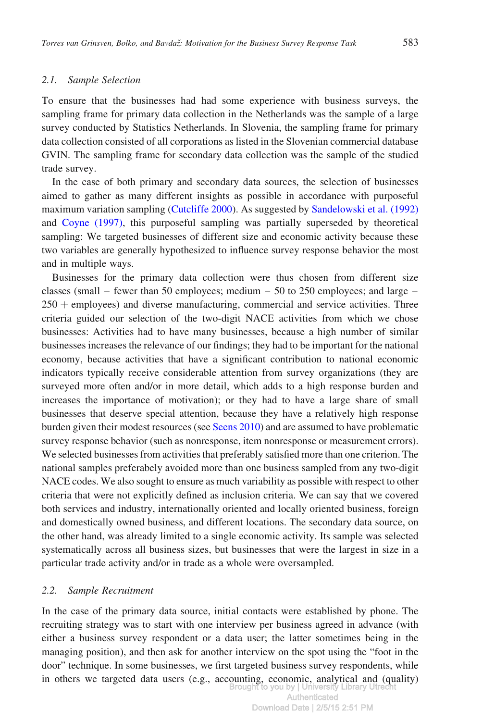#### 2.1. Sample Selection

To ensure that the businesses had had some experience with business surveys, the sampling frame for primary data collection in the Netherlands was the sample of a large survey conducted by Statistics Netherlands. In Slovenia, the sampling frame for primary data collection consisted of all corporations as listed in the Slovenian commercial database GVIN. The sampling frame for secondary data collection was the sample of the studied trade survey.

In the case of both primary and secondary data sources, the selection of businesses aimed to gather as many different insights as possible in accordance with purposeful maximum variation sampling (Cutcliffe 2000). As suggested by Sandelowski et al. (1992) and Coyne (1997), this purposeful sampling was partially superseded by theoretical sampling: We targeted businesses of different size and economic activity because these two variables are generally hypothesized to influence survey response behavior the most and in multiple ways.

Businesses for the primary data collection were thus chosen from different size classes (small – fewer than 50 employees; medium – 50 to 250 employees; and large –  $250 +$  employees) and diverse manufacturing, commercial and service activities. Three criteria guided our selection of the two-digit NACE activities from which we chose businesses: Activities had to have many businesses, because a high number of similar businesses increases the relevance of our findings; they had to be important for the national economy, because activities that have a significant contribution to national economic indicators typically receive considerable attention from survey organizations (they are surveyed more often and/or in more detail, which adds to a high response burden and increases the importance of motivation); or they had to have a large share of small businesses that deserve special attention, because they have a relatively high response burden given their modest resources (see Seens 2010) and are assumed to have problematic survey response behavior (such as nonresponse, item nonresponse or measurement errors). We selected businesses from activities that preferably satisfied more than one criterion. The national samples preferabely avoided more than one business sampled from any two-digit NACE codes. We also sought to ensure as much variability as possible with respect to other criteria that were not explicitly defined as inclusion criteria. We can say that we covered both services and industry, internationally oriented and locally oriented business, foreign and domestically owned business, and different locations. The secondary data source, on the other hand, was already limited to a single economic activity. Its sample was selected systematically across all business sizes, but businesses that were the largest in size in a particular trade activity and/or in trade as a whole were oversampled.

#### 2.2. Sample Recruitment

In the case of the primary data source, initial contacts were established by phone. The recruiting strategy was to start with one interview per business agreed in advance (with either a business survey respondent or a data user; the latter sometimes being in the managing position), and then ask for another interview on the spot using the "foot in the door" technique. In some businesses, we first targeted business survey respondents, while in others we targeted data users (e.g., accounting, economic, analytical and (quality) Brought to you by | University Library Utrecht

Download Date | 2/5/15 2:51 PM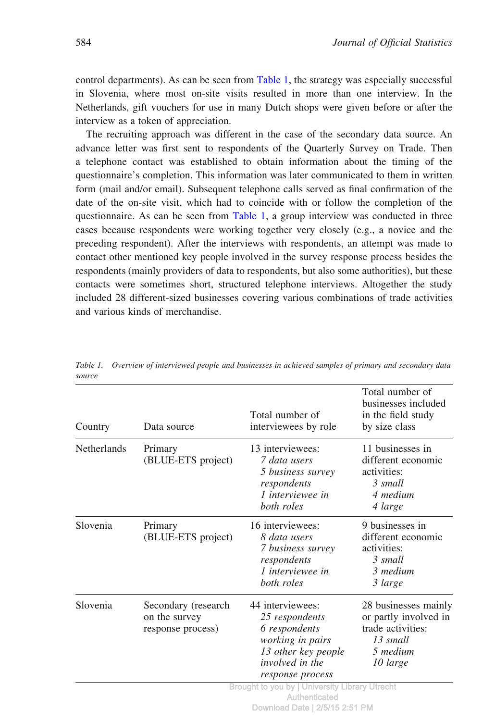control departments). As can be seen from Table 1, the strategy was especially successful in Slovenia, where most on-site visits resulted in more than one interview. In the Netherlands, gift vouchers for use in many Dutch shops were given before or after the interview as a token of appreciation.

The recruiting approach was different in the case of the secondary data source. An advance letter was first sent to respondents of the Quarterly Survey on Trade. Then a telephone contact was established to obtain information about the timing of the questionnaire's completion. This information was later communicated to them in written form (mail and/or email). Subsequent telephone calls served as final confirmation of the date of the on-site visit, which had to coincide with or follow the completion of the questionnaire. As can be seen from Table 1, a group interview was conducted in three cases because respondents were working together very closely (e.g., a novice and the preceding respondent). After the interviews with respondents, an attempt was made to contact other mentioned key people involved in the survey response process besides the respondents (mainly providers of data to respondents, but also some authorities), but these contacts were sometimes short, structured telephone interviews. Altogether the study included 28 different-sized businesses covering various combinations of trade activities and various kinds of merchandise.

| Data source                                               | Total number of<br>interviewees by role                                                                                                                                                               | Total number of<br>businesses included<br>in the field study<br>by size class                          |
|-----------------------------------------------------------|-------------------------------------------------------------------------------------------------------------------------------------------------------------------------------------------------------|--------------------------------------------------------------------------------------------------------|
| Primary<br>(BLUE-ETS project)                             | 13 interviewees:<br>7 data users<br>5 business survey<br>respondents<br><i>l</i> interviewee in<br>both roles                                                                                         | 11 businesses in<br>different economic<br>activities:<br>3 small<br>4 medium<br>4 large                |
| Primary<br>(BLUE-ETS project)                             | 16 interviewees:<br>8 data users<br>7 business survey<br>respondents<br><i>l</i> interviewee in<br>both roles                                                                                         | 9 businesses in<br>different economic<br>activities:<br>3 small<br>3 medium<br>3 large                 |
| Secondary (research<br>on the survey<br>response process) | 44 interviewees:<br>25 respondents<br>6 respondents<br>working in pairs<br>13 other key people<br><i>involved</i> in the<br>response process<br><b>Brought to you by   University Library Utrecht</b> | 28 businesses mainly<br>or partly involved in<br>trade activities:<br>13 small<br>5 medium<br>10 large |
|                                                           |                                                                                                                                                                                                       |                                                                                                        |

Table 1. Overview of interviewed people and businesses in achieved samples of primary and secondary data source

Download Date | 2/5/15 2:51 PM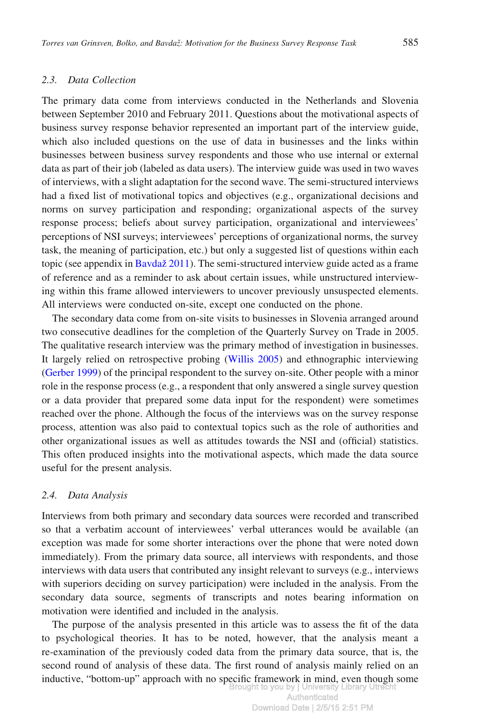## 2.3. Data Collection

The primary data come from interviews conducted in the Netherlands and Slovenia between September 2010 and February 2011. Questions about the motivational aspects of business survey response behavior represented an important part of the interview guide, which also included questions on the use of data in businesses and the links within businesses between business survey respondents and those who use internal or external data as part of their job (labeled as data users). The interview guide was used in two waves of interviews, with a slight adaptation for the second wave. The semi-structured interviews had a fixed list of motivational topics and objectives (e.g., organizational decisions and norms on survey participation and responding; organizational aspects of the survey response process; beliefs about survey participation, organizational and interviewees' perceptions of NSI surveys; interviewees' perceptions of organizational norms, the survey task, the meaning of participation, etc.) but only a suggested list of questions within each topic (see appendix in Bavdazˇ 2011). The semi-structured interview guide acted as a frame of reference and as a reminder to ask about certain issues, while unstructured interviewing within this frame allowed interviewers to uncover previously unsuspected elements. All interviews were conducted on-site, except one conducted on the phone.

The secondary data come from on-site visits to businesses in Slovenia arranged around two consecutive deadlines for the completion of the Quarterly Survey on Trade in 2005. The qualitative research interview was the primary method of investigation in businesses. It largely relied on retrospective probing (Willis 2005) and ethnographic interviewing (Gerber 1999) of the principal respondent to the survey on-site. Other people with a minor role in the response process (e.g., a respondent that only answered a single survey question or a data provider that prepared some data input for the respondent) were sometimes reached over the phone. Although the focus of the interviews was on the survey response process, attention was also paid to contextual topics such as the role of authorities and other organizational issues as well as attitudes towards the NSI and (official) statistics. This often produced insights into the motivational aspects, which made the data source useful for the present analysis.

#### 2.4. Data Analysis

Interviews from both primary and secondary data sources were recorded and transcribed so that a verbatim account of interviewees' verbal utterances would be available (an exception was made for some shorter interactions over the phone that were noted down immediately). From the primary data source, all interviews with respondents, and those interviews with data users that contributed any insight relevant to surveys (e.g., interviews with superiors deciding on survey participation) were included in the analysis. From the secondary data source, segments of transcripts and notes bearing information on motivation were identified and included in the analysis.

The purpose of the analysis presented in this article was to assess the fit of the data to psychological theories. It has to be noted, however, that the analysis meant a re-examination of the previously coded data from the primary data source, that is, the second round of analysis of these data. The first round of analysis mainly relied on an inductive, "bottom-up" approach with no specific framework in mind, even though some Brought to you by | University Library Utre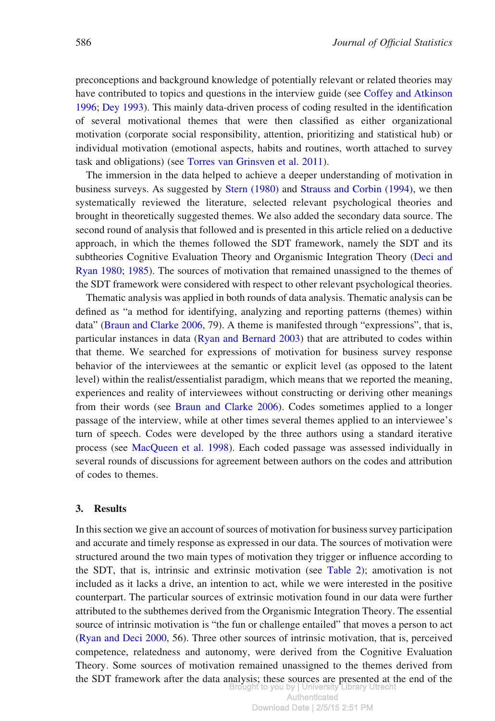preconceptions and background knowledge of potentially relevant or related theories may have contributed to topics and questions in the interview guide (see Coffey and Atkinson 1996; Dey 1993). This mainly data-driven process of coding resulted in the identification of several motivational themes that were then classified as either organizational motivation (corporate social responsibility, attention, prioritizing and statistical hub) or individual motivation (emotional aspects, habits and routines, worth attached to survey task and obligations) (see Torres van Grinsven et al. 2011).

The immersion in the data helped to achieve a deeper understanding of motivation in business surveys. As suggested by Stern (1980) and Strauss and Corbin (1994), we then systematically reviewed the literature, selected relevant psychological theories and brought in theoretically suggested themes. We also added the secondary data source. The second round of analysis that followed and is presented in this article relied on a deductive approach, in which the themes followed the SDT framework, namely the SDT and its subtheories Cognitive Evaluation Theory and Organismic Integration Theory (Deci and Ryan 1980; 1985). The sources of motivation that remained unassigned to the themes of the SDT framework were considered with respect to other relevant psychological theories.

Thematic analysis was applied in both rounds of data analysis. Thematic analysis can be defined as "a method for identifying, analyzing and reporting patterns (themes) within data" (Braun and Clarke 2006, 79). A theme is manifested through "expressions", that is, particular instances in data (Ryan and Bernard 2003) that are attributed to codes within that theme. We searched for expressions of motivation for business survey response behavior of the interviewees at the semantic or explicit level (as opposed to the latent level) within the realist/essentialist paradigm, which means that we reported the meaning, experiences and reality of interviewees without constructing or deriving other meanings from their words (see Braun and Clarke 2006). Codes sometimes applied to a longer passage of the interview, while at other times several themes applied to an interviewee's turn of speech. Codes were developed by the three authors using a standard iterative process (see MacQueen et al. 1998). Each coded passage was assessed individually in several rounds of discussions for agreement between authors on the codes and attribution of codes to themes.

#### 3. Results

In this section we give an account of sources of motivation for business survey participation and accurate and timely response as expressed in our data. The sources of motivation were structured around the two main types of motivation they trigger or influence according to the SDT, that is, intrinsic and extrinsic motivation (see Table 2); amotivation is not included as it lacks a drive, an intention to act, while we were interested in the positive counterpart. The particular sources of extrinsic motivation found in our data were further attributed to the subthemes derived from the Organismic Integration Theory. The essential source of intrinsic motivation is "the fun or challenge entailed" that moves a person to act (Ryan and Deci 2000, 56). Three other sources of intrinsic motivation, that is, perceived competence, relatedness and autonomy, were derived from the Cognitive Evaluation Theory. Some sources of motivation remained unassigned to the themes derived from the SDT framework after the data analysis; these sources are presented at the end of the Brought to you by | University Library Utrecht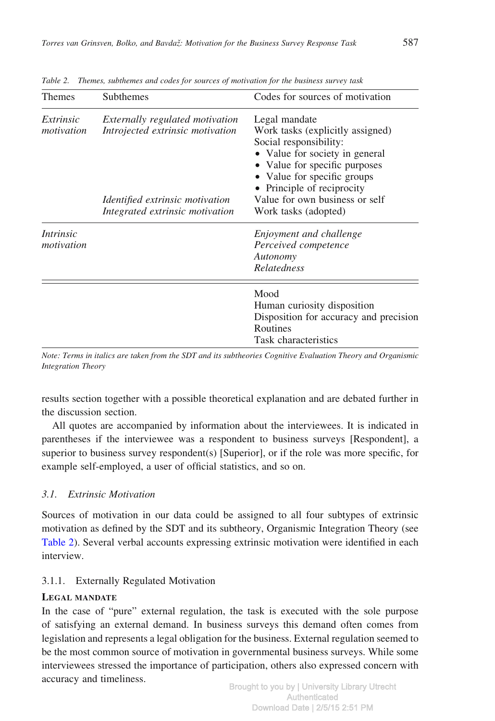| <b>Themes</b>    | <b>Subthemes</b>                       | Codes for sources of motivation        |
|------------------|----------------------------------------|----------------------------------------|
| Extrinsic        | <i>Externally regulated motivation</i> | Legal mandate                          |
| motivation       | Introjected extrinsic motivation       | Work tasks (explicitly assigned)       |
|                  |                                        | Social responsibility:                 |
|                  |                                        | • Value for society in general         |
|                  |                                        | • Value for specific purposes          |
|                  |                                        | • Value for specific groups            |
|                  |                                        | • Principle of reciprocity             |
|                  | <i>Identified extrinsic motivation</i> | Value for own business or self         |
|                  | Integrated extrinsic motivation        | Work tasks (adopted)                   |
| <i>Intrinsic</i> |                                        | Enjoyment and challenge                |
| motivation       |                                        | Perceived competence                   |
|                  |                                        | Autonomy                               |
|                  |                                        | <b>Relatedness</b>                     |
|                  |                                        | Mood                                   |
|                  |                                        | Human curiosity disposition            |
|                  |                                        | Disposition for accuracy and precision |
|                  |                                        | Routines                               |
|                  |                                        | Task characteristics                   |
|                  |                                        |                                        |

Table 2. Themes, subthemes and codes for sources of motivation for the business survey task

Note: Terms in italics are taken from the SDT and its subtheories Cognitive Evaluation Theory and Organismic Integration Theory

results section together with a possible theoretical explanation and are debated further in the discussion section.

All quotes are accompanied by information about the interviewees. It is indicated in parentheses if the interviewee was a respondent to business surveys [Respondent], a superior to business survey respondent(s) [Superior], or if the role was more specific, for example self-employed, a user of official statistics, and so on.

## 3.1. Extrinsic Motivation

Sources of motivation in our data could be assigned to all four subtypes of extrinsic motivation as defined by the SDT and its subtheory, Organismic Integration Theory (see Table 2). Several verbal accounts expressing extrinsic motivation were identified in each interview.

#### 3.1.1. Externally Regulated Motivation

#### LEGAL MANDATE

In the case of "pure" external regulation, the task is executed with the sole purpose of satisfying an external demand. In business surveys this demand often comes from legislation and represents a legal obligation for the business. External regulation seemed to be the most common source of motivation in governmental business surveys. While some interviewees stressed the importance of participation, others also expressed concern with accuracy and timeliness.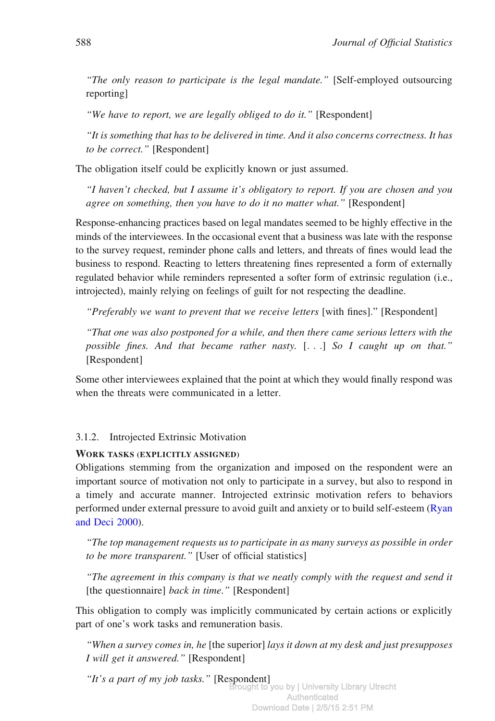"The only reason to participate is the legal mandate." [Self-employed outsourcing reporting]

"We have to report, we are legally obliged to do it." [Respondent]

"It is something that has to be delivered in time. And it also concerns correctness. It has to be correct." [Respondent]

The obligation itself could be explicitly known or just assumed.

"I haven't checked, but I assume it's obligatory to report. If you are chosen and you agree on something, then you have to do it no matter what." [Respondent]

Response-enhancing practices based on legal mandates seemed to be highly effective in the minds of the interviewees. In the occasional event that a business was late with the response to the survey request, reminder phone calls and letters, and threats of fines would lead the business to respond. Reacting to letters threatening fines represented a form of externally regulated behavior while reminders represented a softer form of extrinsic regulation (i.e., introjected), mainly relying on feelings of guilt for not respecting the deadline.

"Preferably we want to prevent that we receive letters [with fines]." [Respondent]

"That one was also postponed for a while, and then there came serious letters with the possible fines. And that became rather nasty. [...] So I caught up on that." [Respondent]

Some other interviewees explained that the point at which they would finally respond was when the threats were communicated in a letter.

3.1.2. Introjected Extrinsic Motivation

#### WORK TASKS (EXPLICITLY ASSIGNED)

Obligations stemming from the organization and imposed on the respondent were an important source of motivation not only to participate in a survey, but also to respond in a timely and accurate manner. Introjected extrinsic motivation refers to behaviors performed under external pressure to avoid guilt and anxiety or to build self-esteem (Ryan and Deci 2000).

"The top management requests us to participate in as many surveys as possible in order to be more transparent." [User of official statistics]

"The agreement in this company is that we neatly comply with the request and send it [the questionnaire] back in time." [Respondent]

This obligation to comply was implicitly communicated by certain actions or explicitly part of one's work tasks and remuneration basis.

"When a survey comes in, he [the superior] lays it down at my desk and just presupposes I will get it answered." [Respondent]

"It's a part of my job tasks." [Respondent]<br>Brought to you by | University Library Utrecht Authenticated Download Date | 2/5/15 2:51 PM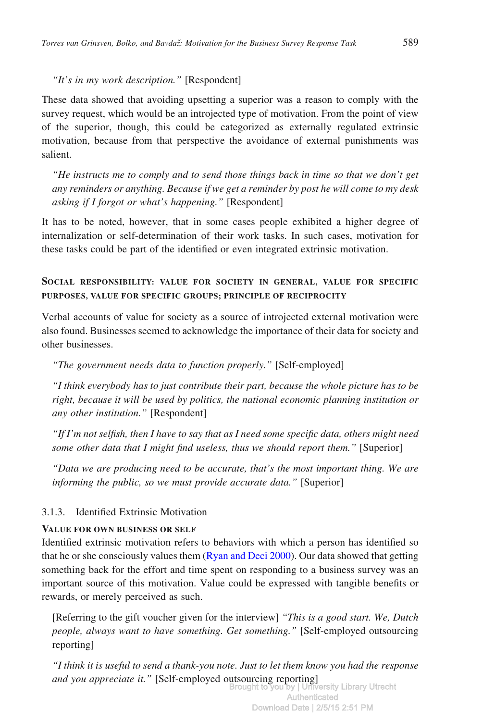## "It's in my work description." [Respondent]

These data showed that avoiding upsetting a superior was a reason to comply with the survey request, which would be an introjected type of motivation. From the point of view of the superior, though, this could be categorized as externally regulated extrinsic motivation, because from that perspective the avoidance of external punishments was salient.

"He instructs me to comply and to send those things back in time so that we don't get any reminders or anything. Because if we get a reminder by post he will come to my desk asking if I forgot or what's happening." [Respondent]

It has to be noted, however, that in some cases people exhibited a higher degree of internalization or self-determination of their work tasks. In such cases, motivation for these tasks could be part of the identified or even integrated extrinsic motivation.

## SOCIAL RESPONSIBILITY: VALUE FOR SOCIETY IN GENERAL, VALUE FOR SPECIFIC PURPOSES, VALUE FOR SPECIFIC GROUPS; PRINCIPLE OF RECIPROCITY

Verbal accounts of value for society as a source of introjected external motivation were also found. Businesses seemed to acknowledge the importance of their data for society and other businesses.

"The government needs data to function properly." [Self-employed]

"I think everybody has to just contribute their part, because the whole picture has to be right, because it will be used by politics, the national economic planning institution or any other institution." [Respondent]

"If I'm not selfish, then I have to say that as I need some specific data, others might need some other data that I might find useless, thus we should report them." [Superior]

"Data we are producing need to be accurate, that's the most important thing. We are informing the public, so we must provide accurate data." [Superior]

## 3.1.3. Identified Extrinsic Motivation

## VALUE FOR OWN BUSINESS OR SELF

Identified extrinsic motivation refers to behaviors with which a person has identified so that he or she consciously values them (Ryan and Deci 2000). Our data showed that getting something back for the effort and time spent on responding to a business survey was an important source of this motivation. Value could be expressed with tangible benefits or rewards, or merely perceived as such.

[Referring to the gift voucher given for the interview] "This is a good start. We, Dutch people, always want to have something. Get something." [Self-employed outsourcing reporting]

"I think it is useful to send a thank-you note. Just to let them know you had the response and you appreciate it." [Self-employed outsourcing reporting]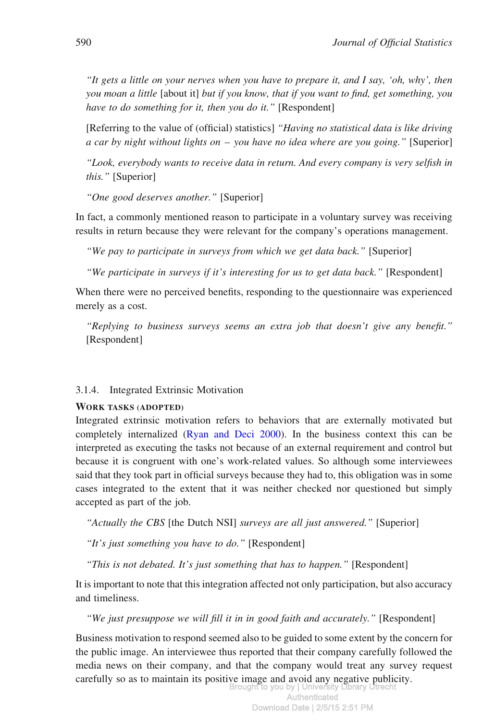"It gets a little on your nerves when you have to prepare it, and I say, 'oh, why', then you moan a little [about it] but if you know, that if you want to find, get something, you have to do something for it, then you do it." [Respondent]

[Referring to the value of (official) statistics] "Having no statistical data is like driving a car by night without lights on  $-$  you have no idea where are you going." [Superior]

"Look, everybody wants to receive data in return. And every company is very selfish in this." [Superior]

"One good deserves another." [Superior]

In fact, a commonly mentioned reason to participate in a voluntary survey was receiving results in return because they were relevant for the company's operations management.

"We pay to participate in surveys from which we get data back." [Superior]

"We participate in surveys if it's interesting for us to get data back." [Respondent]

When there were no perceived benefits, responding to the questionnaire was experienced merely as a cost.

"Replying to business surveys seems an extra job that doesn't give any benefit." [Respondent]

#### 3.1.4. Integrated Extrinsic Motivation

#### WORK TASKS (ADOPTED)

Integrated extrinsic motivation refers to behaviors that are externally motivated but completely internalized (Ryan and Deci 2000). In the business context this can be interpreted as executing the tasks not because of an external requirement and control but because it is congruent with one's work-related values. So although some interviewees said that they took part in official surveys because they had to, this obligation was in some cases integrated to the extent that it was neither checked nor questioned but simply accepted as part of the job.

"Actually the CBS [the Dutch NSI] surveys are all just answered." [Superior]

"It's just something you have to do." [Respondent]

"This is not debated. It's just something that has to happen." [Respondent]

It is important to note that this integration affected not only participation, but also accuracy and timeliness.

"We just presuppose we will fill it in in good faith and accurately." [Respondent]

Business motivation to respond seemed also to be guided to some extent by the concern for the public image. An interviewee thus reported that their company carefully followed the media news on their company, and that the company would treat any survey request carefully so as to maintain its positive image and avoid any negative publicity. Brought to you by | Unive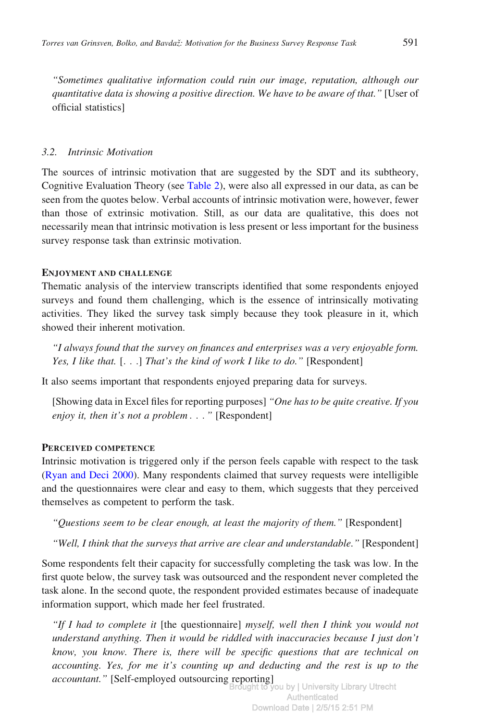"Sometimes qualitative information could ruin our image, reputation, although our quantitative data is showing a positive direction. We have to be aware of that." [User of official statistics]

#### 3.2. Intrinsic Motivation

The sources of intrinsic motivation that are suggested by the SDT and its subtheory, Cognitive Evaluation Theory (see Table 2), were also all expressed in our data, as can be seen from the quotes below. Verbal accounts of intrinsic motivation were, however, fewer than those of extrinsic motivation. Still, as our data are qualitative, this does not necessarily mean that intrinsic motivation is less present or less important for the business survey response task than extrinsic motivation.

#### ENJOYMENT AND CHALLENGE

Thematic analysis of the interview transcripts identified that some respondents enjoyed surveys and found them challenging, which is the essence of intrinsically motivating activities. They liked the survey task simply because they took pleasure in it, which showed their inherent motivation.

"I always found that the survey on finances and enterprises was a very enjoyable form. Yes, I like that.  $[...]$  That's the kind of work I like to do." [Respondent]

It also seems important that respondents enjoyed preparing data for surveys.

[Showing data in Excel files for reporting purposes] "One has to be quite creative. If you enjoy it, then it's not a problem  $\ldots$  " [Respondent]

#### PERCEIVED COMPETENCE

Intrinsic motivation is triggered only if the person feels capable with respect to the task (Ryan and Deci 2000). Many respondents claimed that survey requests were intelligible and the questionnaires were clear and easy to them, which suggests that they perceived themselves as competent to perform the task.

"Questions seem to be clear enough, at least the majority of them." [Respondent]

"Well, I think that the surveys that arrive are clear and understandable." [Respondent]

Some respondents felt their capacity for successfully completing the task was low. In the first quote below, the survey task was outsourced and the respondent never completed the task alone. In the second quote, the respondent provided estimates because of inadequate information support, which made her feel frustrated.

"If I had to complete it [the questionnaire] myself, well then I think you would not understand anything. Then it would be riddled with inaccuracies because I just don't know, you know. There is, there will be specific questions that are technical on accounting. Yes, for me it's counting up and deducting and the rest is up to the accountant." [Self-employed outsourcing reporting]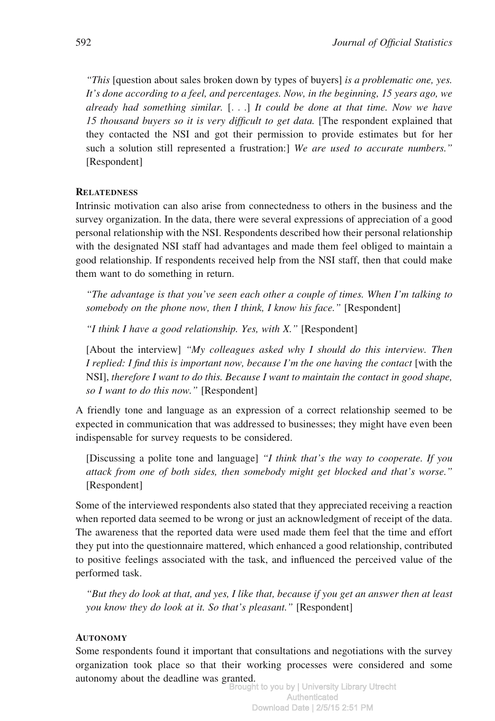"This [question about sales broken down by types of buyers] is a problematic one, yes. It's done according to a feel, and percentages. Now, in the beginning, 15 years ago, we already had something similar,  $[.,.]$  It could be done at that time. Now we have 15 thousand buyers so it is very difficult to get data. [The respondent explained that they contacted the NSI and got their permission to provide estimates but for her such a solution still represented a frustration: We are used to accurate numbers." [Respondent]

#### **RELATEDNESS**

Intrinsic motivation can also arise from connectedness to others in the business and the survey organization. In the data, there were several expressions of appreciation of a good personal relationship with the NSI. Respondents described how their personal relationship with the designated NSI staff had advantages and made them feel obliged to maintain a good relationship. If respondents received help from the NSI staff, then that could make them want to do something in return.

"The advantage is that you've seen each other a couple of times. When I'm talking to somebody on the phone now, then I think, I know his face." [Respondent]

"I think I have a good relationship. Yes, with X." [Respondent]

[About the interview] "My colleagues asked why I should do this interview. Then I replied: I find this is important now, because I'm the one having the contact [with the NSI], therefore I want to do this. Because I want to maintain the contact in good shape, so I want to do this now." [Respondent]

A friendly tone and language as an expression of a correct relationship seemed to be expected in communication that was addressed to businesses; they might have even been indispensable for survey requests to be considered.

[Discussing a polite tone and language] "I think that's the way to cooperate. If you attack from one of both sides, then somebody might get blocked and that's worse." [Respondent]

Some of the interviewed respondents also stated that they appreciated receiving a reaction when reported data seemed to be wrong or just an acknowledgment of receipt of the data. The awareness that the reported data were used made them feel that the time and effort they put into the questionnaire mattered, which enhanced a good relationship, contributed to positive feelings associated with the task, and influenced the perceived value of the performed task.

"But they do look at that, and yes, I like that, because if you get an answer then at least you know they do look at it. So that's pleasant." [Respondent]

#### AUTONOMY

Some respondents found it important that consultations and negotiations with the survey organization took place so that their working processes were considered and some autonomy about the deadline was granted.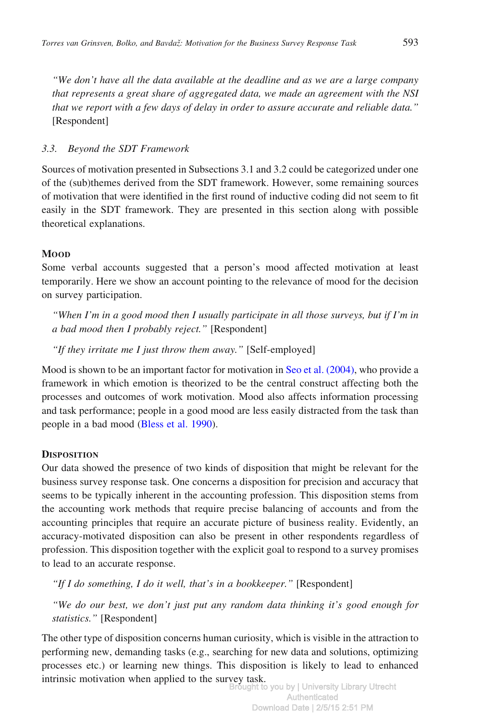"We don't have all the data available at the deadline and as we are a large company that represents a great share of aggregated data, we made an agreement with the NSI that we report with a few days of delay in order to assure accurate and reliable data." [Respondent]

## 3.3. Beyond the SDT Framework

Sources of motivation presented in Subsections 3.1 and 3.2 could be categorized under one of the (sub)themes derived from the SDT framework. However, some remaining sources of motivation that were identified in the first round of inductive coding did not seem to fit easily in the SDT framework. They are presented in this section along with possible theoretical explanations.

## MOOD

Some verbal accounts suggested that a person's mood affected motivation at least temporarily. Here we show an account pointing to the relevance of mood for the decision on survey participation.

"When I'm in a good mood then I usually participate in all those surveys, but if I'm in a bad mood then I probably reject." [Respondent]

"If they irritate me I just throw them away." [Self-employed]

Mood is shown to be an important factor for motivation in Seo et al. (2004), who provide a framework in which emotion is theorized to be the central construct affecting both the processes and outcomes of work motivation. Mood also affects information processing and task performance; people in a good mood are less easily distracted from the task than people in a bad mood (Bless et al. 1990).

#### **DISPOSITION**

Our data showed the presence of two kinds of disposition that might be relevant for the business survey response task. One concerns a disposition for precision and accuracy that seems to be typically inherent in the accounting profession. This disposition stems from the accounting work methods that require precise balancing of accounts and from the accounting principles that require an accurate picture of business reality. Evidently, an accuracy-motivated disposition can also be present in other respondents regardless of profession. This disposition together with the explicit goal to respond to a survey promises to lead to an accurate response.

"If I do something, I do it well, that's in a bookkeeper." [Respondent]

"We do our best, we don't just put any random data thinking it's good enough for statistics." [Respondent]

The other type of disposition concerns human curiosity, which is visible in the attraction to performing new, demanding tasks (e.g., searching for new data and solutions, optimizing processes etc.) or learning new things. This disposition is likely to lead to enhanced intrinsic motivation when applied to the survey task.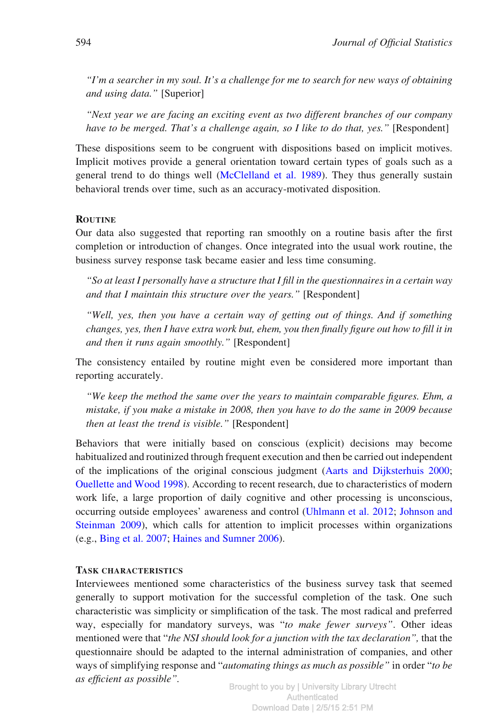"I'm a searcher in my soul. It's a challenge for me to search for new ways of obtaining and using data." [Superior]

"Next year we are facing an exciting event as two different branches of our company have to be merged. That's a challenge again, so I like to do that, yes." [Respondent]

These dispositions seem to be congruent with dispositions based on implicit motives. Implicit motives provide a general orientation toward certain types of goals such as a general trend to do things well (McClelland et al. 1989). They thus generally sustain behavioral trends over time, such as an accuracy-motivated disposition.

#### **ROUTINE**

Our data also suggested that reporting ran smoothly on a routine basis after the first completion or introduction of changes. Once integrated into the usual work routine, the business survey response task became easier and less time consuming.

"So at least I personally have a structure that I fill in the questionnaires in a certain way and that I maintain this structure over the years." [Respondent]

"Well, yes, then you have a certain way of getting out of things. And if something changes, yes, then I have extra work but, ehem, you then finally figure out how to fill it in and then it runs again smoothly." [Respondent]

The consistency entailed by routine might even be considered more important than reporting accurately.

"We keep the method the same over the years to maintain comparable figures. Ehm, a mistake, if you make a mistake in 2008, then you have to do the same in 2009 because then at least the trend is visible." [Respondent]

Behaviors that were initially based on conscious (explicit) decisions may become habitualized and routinized through frequent execution and then be carried out independent of the implications of the original conscious judgment (Aarts and Dijksterhuis 2000; Ouellette and Wood 1998). According to recent research, due to characteristics of modern work life, a large proportion of daily cognitive and other processing is unconscious, occurring outside employees' awareness and control (Uhlmann et al. 2012; Johnson and Steinman 2009), which calls for attention to implicit processes within organizations (e.g., Bing et al. 2007; Haines and Sumner 2006).

#### TASK CHARACTERISTICS

Interviewees mentioned some characteristics of the business survey task that seemed generally to support motivation for the successful completion of the task. One such characteristic was simplicity or simplification of the task. The most radical and preferred way, especially for mandatory surveys, was "to make fewer surveys". Other ideas mentioned were that "the NSI should look for a junction with the tax declaration", that the questionnaire should be adapted to the internal administration of companies, and other ways of simplifying response and "*automating things as much as possible*" in order "*to be* as efficient as possible".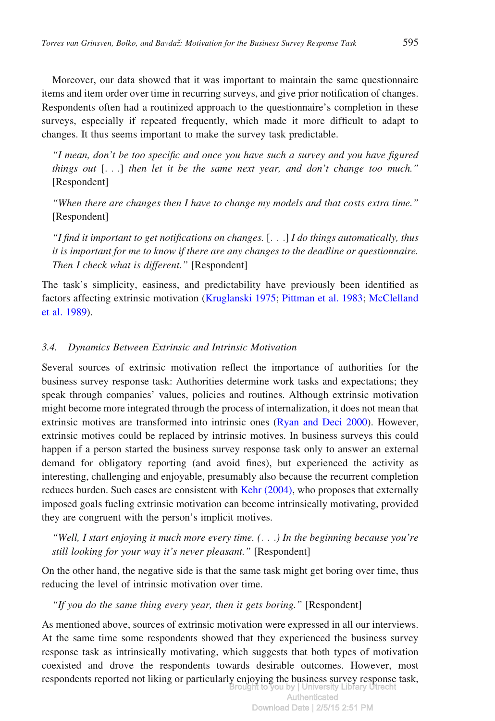Moreover, our data showed that it was important to maintain the same questionnaire items and item order over time in recurring surveys, and give prior notification of changes. Respondents often had a routinized approach to the questionnaire's completion in these surveys, especially if repeated frequently, which made it more difficult to adapt to changes. It thus seems important to make the survey task predictable.

"I mean, don't be too specific and once you have such a survey and you have figured things out  $[...]$  then let it be the same next year, and don't change too much." [Respondent]

"When there are changes then I have to change my models and that costs extra time." [Respondent]

"I find it important to get notifications on changes.  $[...]$  I do things automatically, thus it is important for me to know if there are any changes to the deadline or questionnaire. Then I check what is different." [Respondent]

The task's simplicity, easiness, and predictability have previously been identified as factors affecting extrinsic motivation (Kruglanski 1975; Pittman et al. 1983; McClelland et al. 1989).

## 3.4. Dynamics Between Extrinsic and Intrinsic Motivation

Several sources of extrinsic motivation reflect the importance of authorities for the business survey response task: Authorities determine work tasks and expectations; they speak through companies' values, policies and routines. Although extrinsic motivation might become more integrated through the process of internalization, it does not mean that extrinsic motives are transformed into intrinsic ones (Ryan and Deci 2000). However, extrinsic motives could be replaced by intrinsic motives. In business surveys this could happen if a person started the business survey response task only to answer an external demand for obligatory reporting (and avoid fines), but experienced the activity as interesting, challenging and enjoyable, presumably also because the recurrent completion reduces burden. Such cases are consistent with Kehr (2004), who proposes that externally imposed goals fueling extrinsic motivation can become intrinsically motivating, provided they are congruent with the person's implicit motives.

"Well, I start enjoying it much more every time.  $( \ldots )$  In the beginning because you're still looking for your way it's never pleasant." [Respondent]

On the other hand, the negative side is that the same task might get boring over time, thus reducing the level of intrinsic motivation over time.

"If you do the same thing every year, then it gets boring." [Respondent]

As mentioned above, sources of extrinsic motivation were expressed in all our interviews. At the same time some respondents showed that they experienced the business survey response task as intrinsically motivating, which suggests that both types of motivation coexisted and drove the respondents towards desirable outcomes. However, most respondents reported not liking or particularly enjoying the business survey response task,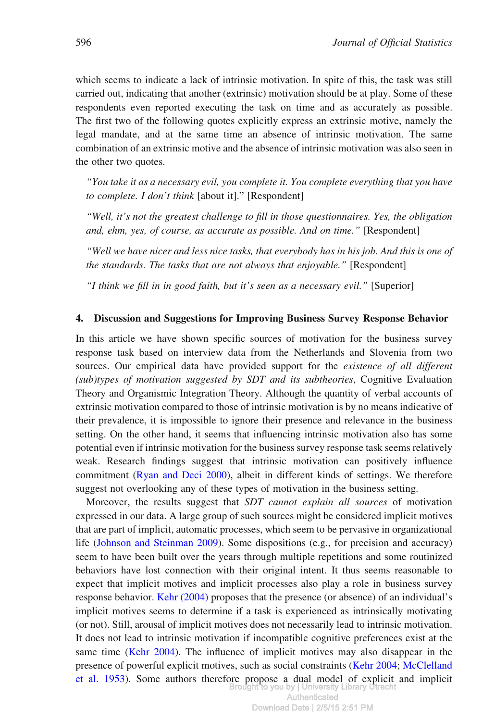which seems to indicate a lack of intrinsic motivation. In spite of this, the task was still carried out, indicating that another (extrinsic) motivation should be at play. Some of these respondents even reported executing the task on time and as accurately as possible. The first two of the following quotes explicitly express an extrinsic motive, namely the legal mandate, and at the same time an absence of intrinsic motivation. The same combination of an extrinsic motive and the absence of intrinsic motivation was also seen in the other two quotes.

"You take it as a necessary evil, you complete it. You complete everything that you have to complete. I don't think [about it]." [Respondent]

"Well, it's not the greatest challenge to fill in those questionnaires. Yes, the obligation and, ehm, yes, of course, as accurate as possible. And on time." [Respondent]

"Well we have nicer and less nice tasks, that everybody has in his job. And this is one of the standards. The tasks that are not always that enjoyable." [Respondent]

"I think we fill in in good faith, but it's seen as a necessary evil." [Superior]

#### 4. Discussion and Suggestions for Improving Business Survey Response Behavior

In this article we have shown specific sources of motivation for the business survey response task based on interview data from the Netherlands and Slovenia from two sources. Our empirical data have provided support for the existence of all different (sub)types of motivation suggested by SDT and its subtheories, Cognitive Evaluation Theory and Organismic Integration Theory. Although the quantity of verbal accounts of extrinsic motivation compared to those of intrinsic motivation is by no means indicative of their prevalence, it is impossible to ignore their presence and relevance in the business setting. On the other hand, it seems that influencing intrinsic motivation also has some potential even if intrinsic motivation for the business survey response task seems relatively weak. Research findings suggest that intrinsic motivation can positively influence commitment (Ryan and Deci 2000), albeit in different kinds of settings. We therefore suggest not overlooking any of these types of motivation in the business setting.

Moreover, the results suggest that *SDT cannot explain all sources* of motivation expressed in our data. A large group of such sources might be considered implicit motives that are part of implicit, automatic processes, which seem to be pervasive in organizational life (Johnson and Steinman 2009). Some dispositions (e.g., for precision and accuracy) seem to have been built over the years through multiple repetitions and some routinized behaviors have lost connection with their original intent. It thus seems reasonable to expect that implicit motives and implicit processes also play a role in business survey response behavior. Kehr (2004) proposes that the presence (or absence) of an individual's implicit motives seems to determine if a task is experienced as intrinsically motivating (or not). Still, arousal of implicit motives does not necessarily lead to intrinsic motivation. It does not lead to intrinsic motivation if incompatible cognitive preferences exist at the same time (Kehr 2004). The influence of implicit motives may also disappear in the presence of powerful explicit motives, such as social constraints (Kehr 2004; McClelland et al. 1953). Some authors therefore propose a dual model of explicit and implicit Brought to you by | University Library Utrecht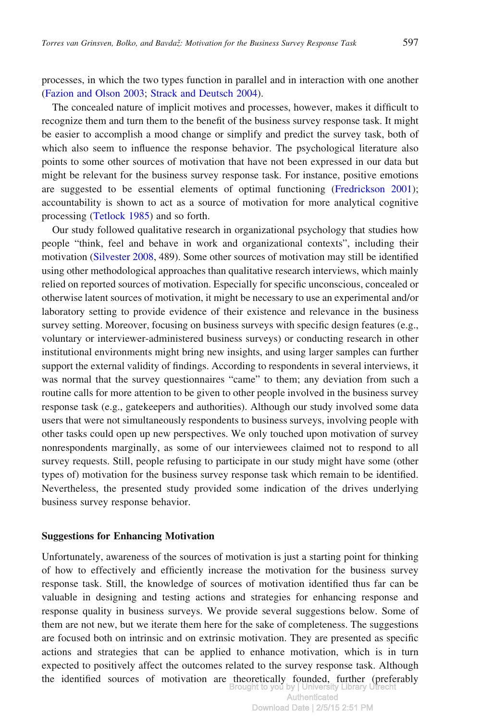processes, in which the two types function in parallel and in interaction with one another (Fazion and Olson 2003; Strack and Deutsch 2004).

The concealed nature of implicit motives and processes, however, makes it difficult to recognize them and turn them to the benefit of the business survey response task. It might be easier to accomplish a mood change or simplify and predict the survey task, both of which also seem to influence the response behavior. The psychological literature also points to some other sources of motivation that have not been expressed in our data but might be relevant for the business survey response task. For instance, positive emotions are suggested to be essential elements of optimal functioning (Fredrickson 2001); accountability is shown to act as a source of motivation for more analytical cognitive processing (Tetlock 1985) and so forth.

Our study followed qualitative research in organizational psychology that studies how people "think, feel and behave in work and organizational contexts", including their motivation (Silvester 2008, 489). Some other sources of motivation may still be identified using other methodological approaches than qualitative research interviews, which mainly relied on reported sources of motivation. Especially for specific unconscious, concealed or otherwise latent sources of motivation, it might be necessary to use an experimental and/or laboratory setting to provide evidence of their existence and relevance in the business survey setting. Moreover, focusing on business surveys with specific design features (e.g., voluntary or interviewer-administered business surveys) or conducting research in other institutional environments might bring new insights, and using larger samples can further support the external validity of findings. According to respondents in several interviews, it was normal that the survey questionnaires "came" to them; any deviation from such a routine calls for more attention to be given to other people involved in the business survey response task (e.g., gatekeepers and authorities). Although our study involved some data users that were not simultaneously respondents to business surveys, involving people with other tasks could open up new perspectives. We only touched upon motivation of survey nonrespondents marginally, as some of our interviewees claimed not to respond to all survey requests. Still, people refusing to participate in our study might have some (other types of) motivation for the business survey response task which remain to be identified. Nevertheless, the presented study provided some indication of the drives underlying business survey response behavior.

#### Suggestions for Enhancing Motivation

Unfortunately, awareness of the sources of motivation is just a starting point for thinking of how to effectively and efficiently increase the motivation for the business survey response task. Still, the knowledge of sources of motivation identified thus far can be valuable in designing and testing actions and strategies for enhancing response and response quality in business surveys. We provide several suggestions below. Some of them are not new, but we iterate them here for the sake of completeness. The suggestions are focused both on intrinsic and on extrinsic motivation. They are presented as specific actions and strategies that can be applied to enhance motivation, which is in turn expected to positively affect the outcomes related to the survey response task. Although the identified sources of motivation are theoretically founded, further (preferably Brought to you by | University Library Utrecht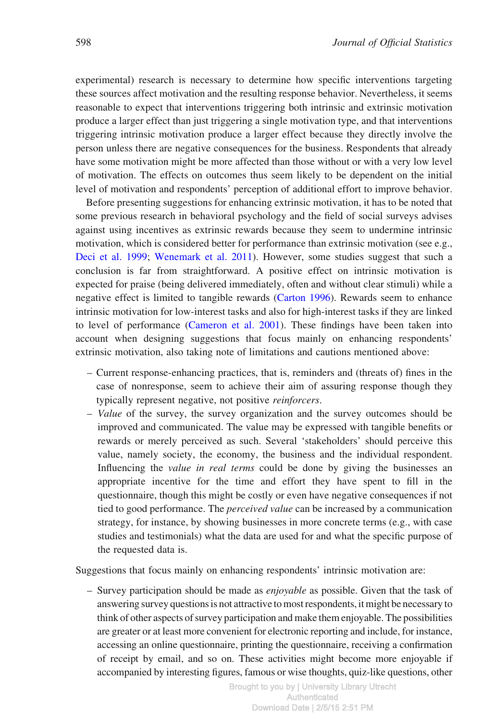experimental) research is necessary to determine how specific interventions targeting these sources affect motivation and the resulting response behavior. Nevertheless, it seems reasonable to expect that interventions triggering both intrinsic and extrinsic motivation produce a larger effect than just triggering a single motivation type, and that interventions triggering intrinsic motivation produce a larger effect because they directly involve the person unless there are negative consequences for the business. Respondents that already have some motivation might be more affected than those without or with a very low level of motivation. The effects on outcomes thus seem likely to be dependent on the initial level of motivation and respondents' perception of additional effort to improve behavior.

Before presenting suggestions for enhancing extrinsic motivation, it has to be noted that some previous research in behavioral psychology and the field of social surveys advises against using incentives as extrinsic rewards because they seem to undermine intrinsic motivation, which is considered better for performance than extrinsic motivation (see e.g., Deci et al. 1999; Wenemark et al. 2011). However, some studies suggest that such a conclusion is far from straightforward. A positive effect on intrinsic motivation is expected for praise (being delivered immediately, often and without clear stimuli) while a negative effect is limited to tangible rewards (Carton 1996). Rewards seem to enhance intrinsic motivation for low-interest tasks and also for high-interest tasks if they are linked to level of performance (Cameron et al. 2001). These findings have been taken into account when designing suggestions that focus mainly on enhancing respondents' extrinsic motivation, also taking note of limitations and cautions mentioned above:

- Current response-enhancing practices, that is, reminders and (threats of) fines in the case of nonresponse, seem to achieve their aim of assuring response though they typically represent negative, not positive reinforcers.
- Value of the survey, the survey organization and the survey outcomes should be improved and communicated. The value may be expressed with tangible benefits or rewards or merely perceived as such. Several 'stakeholders' should perceive this value, namely society, the economy, the business and the individual respondent. Influencing the value in real terms could be done by giving the businesses an appropriate incentive for the time and effort they have spent to fill in the questionnaire, though this might be costly or even have negative consequences if not tied to good performance. The perceived value can be increased by a communication strategy, for instance, by showing businesses in more concrete terms (e.g., with case studies and testimonials) what the data are used for and what the specific purpose of the requested data is.

Suggestions that focus mainly on enhancing respondents' intrinsic motivation are:

– Survey participation should be made as enjoyable as possible. Given that the task of answering survey questions is not attractive to most respondents, it might be necessary to think of other aspects of survey participation and make them enjoyable. The possibilities are greater or at least more convenient for electronic reporting and include, for instance, accessing an online questionnaire, printing the questionnaire, receiving a confirmation of receipt by email, and so on. These activities might become more enjoyable if accompanied by interesting figures, famous or wise thoughts, quiz-like questions, other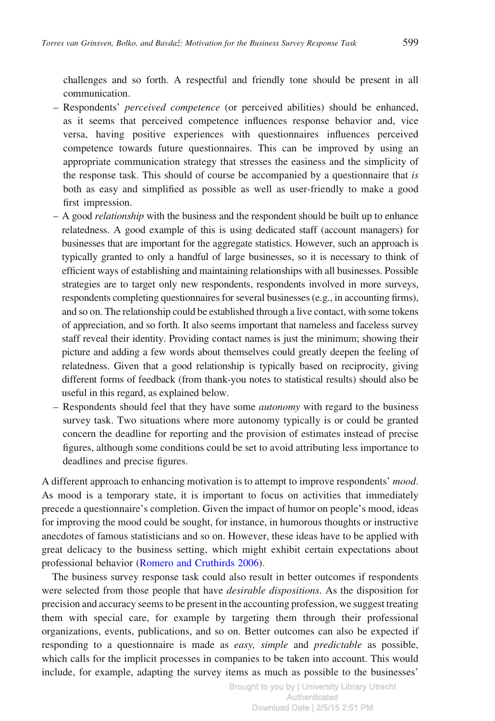challenges and so forth. A respectful and friendly tone should be present in all communication.

- Respondents' perceived competence (or perceived abilities) should be enhanced, as it seems that perceived competence influences response behavior and, vice versa, having positive experiences with questionnaires influences perceived competence towards future questionnaires. This can be improved by using an appropriate communication strategy that stresses the easiness and the simplicity of the response task. This should of course be accompanied by a questionnaire that is both as easy and simplified as possible as well as user-friendly to make a good first impression.
- $A$  good *relationship* with the business and the respondent should be built up to enhance relatedness. A good example of this is using dedicated staff (account managers) for businesses that are important for the aggregate statistics. However, such an approach is typically granted to only a handful of large businesses, so it is necessary to think of efficient ways of establishing and maintaining relationships with all businesses. Possible strategies are to target only new respondents, respondents involved in more surveys, respondents completing questionnaires for several businesses (e.g., in accounting firms), and so on. The relationship could be established through a live contact, with some tokens of appreciation, and so forth. It also seems important that nameless and faceless survey staff reveal their identity. Providing contact names is just the minimum; showing their picture and adding a few words about themselves could greatly deepen the feeling of relatedness. Given that a good relationship is typically based on reciprocity, giving different forms of feedback (from thank-you notes to statistical results) should also be useful in this regard, as explained below.
- Respondents should feel that they have some *autonomy* with regard to the business survey task. Two situations where more autonomy typically is or could be granted concern the deadline for reporting and the provision of estimates instead of precise figures, although some conditions could be set to avoid attributing less importance to deadlines and precise figures.

A different approach to enhancing motivation is to attempt to improve respondents' mood. As mood is a temporary state, it is important to focus on activities that immediately precede a questionnaire's completion. Given the impact of humor on people's mood, ideas for improving the mood could be sought, for instance, in humorous thoughts or instructive anecdotes of famous statisticians and so on. However, these ideas have to be applied with great delicacy to the business setting, which might exhibit certain expectations about professional behavior (Romero and Cruthirds 2006).

The business survey response task could also result in better outcomes if respondents were selected from those people that have *desirable dispositions*. As the disposition for precision and accuracy seems to be present in the accounting profession, we suggest treating them with special care, for example by targeting them through their professional organizations, events, publications, and so on. Better outcomes can also be expected if responding to a questionnaire is made as easy, simple and predictable as possible, which calls for the implicit processes in companies to be taken into account. This would include, for example, adapting the survey items as much as possible to the businesses'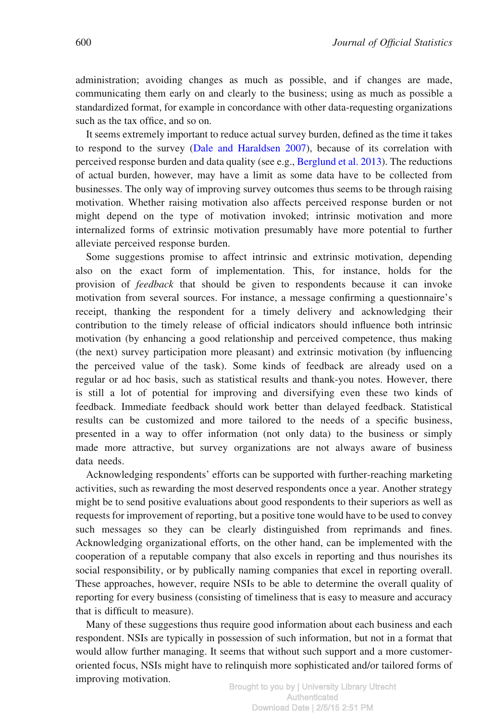administration; avoiding changes as much as possible, and if changes are made, communicating them early on and clearly to the business; using as much as possible a standardized format, for example in concordance with other data-requesting organizations such as the tax office, and so on.

It seems extremely important to reduce actual survey burden, defined as the time it takes to respond to the survey (Dale and Haraldsen 2007), because of its correlation with perceived response burden and data quality (see e.g., Berglund et al. 2013). The reductions of actual burden, however, may have a limit as some data have to be collected from businesses. The only way of improving survey outcomes thus seems to be through raising motivation. Whether raising motivation also affects perceived response burden or not might depend on the type of motivation invoked; intrinsic motivation and more internalized forms of extrinsic motivation presumably have more potential to further alleviate perceived response burden.

Some suggestions promise to affect intrinsic and extrinsic motivation, depending also on the exact form of implementation. This, for instance, holds for the provision of feedback that should be given to respondents because it can invoke motivation from several sources. For instance, a message confirming a questionnaire's receipt, thanking the respondent for a timely delivery and acknowledging their contribution to the timely release of official indicators should influence both intrinsic motivation (by enhancing a good relationship and perceived competence, thus making (the next) survey participation more pleasant) and extrinsic motivation (by influencing the perceived value of the task). Some kinds of feedback are already used on a regular or ad hoc basis, such as statistical results and thank-you notes. However, there is still a lot of potential for improving and diversifying even these two kinds of feedback. Immediate feedback should work better than delayed feedback. Statistical results can be customized and more tailored to the needs of a specific business, presented in a way to offer information (not only data) to the business or simply made more attractive, but survey organizations are not always aware of business data needs.

Acknowledging respondents' efforts can be supported with further-reaching marketing activities, such as rewarding the most deserved respondents once a year. Another strategy might be to send positive evaluations about good respondents to their superiors as well as requests for improvement of reporting, but a positive tone would have to be used to convey such messages so they can be clearly distinguished from reprimands and fines. Acknowledging organizational efforts, on the other hand, can be implemented with the cooperation of a reputable company that also excels in reporting and thus nourishes its social responsibility, or by publically naming companies that excel in reporting overall. These approaches, however, require NSIs to be able to determine the overall quality of reporting for every business (consisting of timeliness that is easy to measure and accuracy that is difficult to measure).

Many of these suggestions thus require good information about each business and each respondent. NSIs are typically in possession of such information, but not in a format that would allow further managing. It seems that without such support and a more customeroriented focus, NSIs might have to relinquish more sophisticated and/or tailored forms of improving motivation.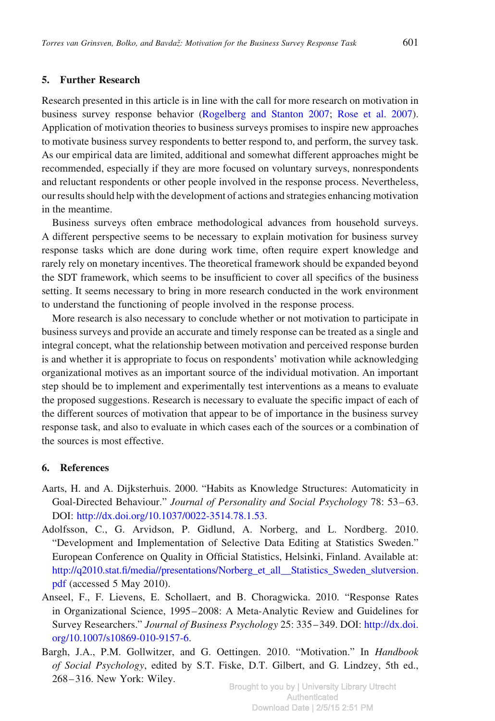#### 5. Further Research

Research presented in this article is in line with the call for more research on motivation in business survey response behavior (Rogelberg and Stanton 2007; Rose et al. 2007). Application of motivation theories to business surveys promises to inspire new approaches to motivate business survey respondents to better respond to, and perform, the survey task. As our empirical data are limited, additional and somewhat different approaches might be recommended, especially if they are more focused on voluntary surveys, nonrespondents and reluctant respondents or other people involved in the response process. Nevertheless, our results should help with the development of actions and strategies enhancing motivation in the meantime.

Business surveys often embrace methodological advances from household surveys. A different perspective seems to be necessary to explain motivation for business survey response tasks which are done during work time, often require expert knowledge and rarely rely on monetary incentives. The theoretical framework should be expanded beyond the SDT framework, which seems to be insufficient to cover all specifics of the business setting. It seems necessary to bring in more research conducted in the work environment to understand the functioning of people involved in the response process.

More research is also necessary to conclude whether or not motivation to participate in business surveys and provide an accurate and timely response can be treated as a single and integral concept, what the relationship between motivation and perceived response burden is and whether it is appropriate to focus on respondents' motivation while acknowledging organizational motives as an important source of the individual motivation. An important step should be to implement and experimentally test interventions as a means to evaluate the proposed suggestions. Research is necessary to evaluate the specific impact of each of the different sources of motivation that appear to be of importance in the business survey response task, and also to evaluate in which cases each of the sources or a combination of the sources is most effective.

#### 6. References

- Aarts, H. and A. Dijksterhuis. 2000. "Habits as Knowledge Structures: Automaticity in Goal-Directed Behaviour." Journal of Personality and Social Psychology 78: 53–63. DOI: [http://dx.doi.org/10.1037/0022-3514.78.1.53.](doi:http://dx.doi.org/10.1037/0022-3514.78.1.53)
- Adolfsson, C., G. Arvidson, P. Gidlund, A. Norberg, and L. Nordberg. 2010. "Development and Implementation of Selective Data Editing at Statistics Sweden." European Conference on Quality in Official Statistics, Helsinki, Finland. Available at: [http://q2010.stat.fi/media//presentations/Norberg\\_et\\_all\\_\\_Statistics\\_Sweden\\_slutversion.](http://q2010.stat.fi/media//presentations/norberg_et_all__statistics_sweden_slutversion.pdf) [pdf](http://q2010.stat.fi/media//presentations/norberg_et_all__statistics_sweden_slutversion.pdf) (accessed 5 May 2010).
- Anseel, F., F. Lievens, E. Schollaert, and B. Choragwicka. 2010. "Response Rates in Organizational Science, 1995–2008: A Meta-Analytic Review and Guidelines for Survey Researchers." Journal of Business Psychology 25: 335–349. DOI: [http://dx.doi.](http://dx.doi.org/10.1007/s10869-010-9157-6) [org/10.1007/s10869-010-9157-6.](http://dx.doi.org/10.1007/s10869-010-9157-6)
- Bargh, J.A., P.M. Gollwitzer, and G. Oettingen. 2010. "Motivation." In Handbook of Social Psychology, edited by S.T. Fiske, D.T. Gilbert, and G. Lindzey, 5th ed., 268–316. New York: Wiley.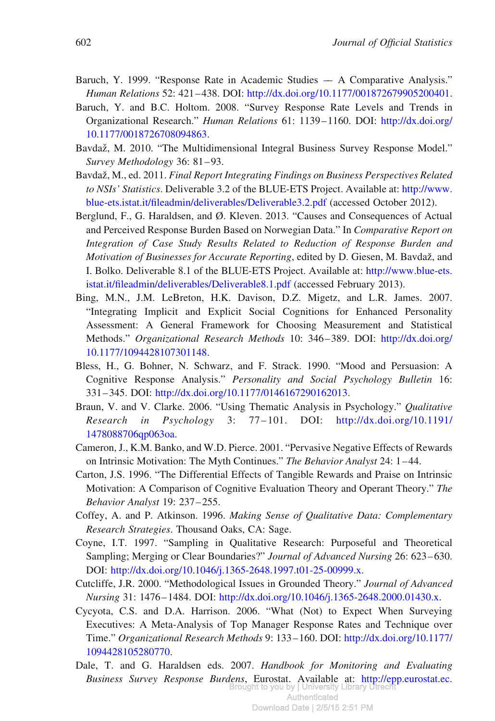- Baruch, Y. 1999. "Response Rate in Academic Studies –– A Comparative Analysis." Human Relations 52: 421–438. DOI: [http://dx.doi.org/10.1177/001872679905200401](doi:http://dx.doi.org/10.1177/001872679905200401).
- Baruch, Y. and B.C. Holtom. 2008. "Survey Response Rate Levels and Trends in Organizational Research." Human Relations 61: 1139–1160. DOI: [http://dx.doi.org/](http://dx.doi.org/ 10.1177/0018726708094863) [10.1177/0018726708094863](http://dx.doi.org/ 10.1177/0018726708094863).
- Bavdaž, M. 2010. "The Multidimensional Integral Business Survey Response Model." Survey Methodology 36: 81–93.
- Baydaž, M., ed. 2011. Final Report Integrating Findings on Business Perspectives Related to NSIs' Statistics. Deliverable 3.2 of the BLUE-ETS Project. Available at: [http://www.](http://www.blue-ets.istat.it/fileadmin/deliverables/deliverable3.2.pdf) [blue-ets.istat.it/fileadmin/deliverables/Deliverable3.2.pdf](http://www.blue-ets.istat.it/fileadmin/deliverables/deliverable3.2.pdf) (accessed October 2012).
- Berglund, F., G. Haraldsen, and Ø. Kleven. 2013. "Causes and Consequences of Actual and Perceived Response Burden Based on Norwegian Data." In Comparative Report on Integration of Case Study Results Related to Reduction of Response Burden and Motivation of Businesses for Accurate Reporting, edited by D. Giesen, M. Bavdaž, and I. Bolko. Deliverable 8.1 of the BLUE-ETS Project. Available at: [http://www.blue-ets.](http://www.blue-ets.istat.it/fileadmin/deliverables/deliverable8.1.pdf) [istat.it/fileadmin/deliverables/Deliverable8.1.pdf](http://www.blue-ets.istat.it/fileadmin/deliverables/deliverable8.1.pdf) (accessed February 2013).
- Bing, M.N., J.M. LeBreton, H.K. Davison, D.Z. Migetz, and L.R. James. 2007. "Integrating Implicit and Explicit Social Cognitions for Enhanced Personality Assessment: A General Framework for Choosing Measurement and Statistical Methods." Organizational Research Methods 10: 346–389. DOI: [http://dx.doi.org/](http://dx.doi.org/ 10.1177/1094428107301148) [10.1177/1094428107301148](http://dx.doi.org/ 10.1177/1094428107301148).
- Bless, H., G. Bohner, N. Schwarz, and F. Strack. 1990. "Mood and Persuasion: A Cognitive Response Analysis." Personality and Social Psychology Bulletin 16: 331–345. DOI: [http://dx.doi.org/10.1177/0146167290162013.](http://dx.doi.org/10.1177/0146167290162013)
- Braun, V. and V. Clarke. 2006. "Using Thematic Analysis in Psychology." Qualitative Research in Psychology 3: 77–101. DOI: [http://dx.doi.org/10.1191/](http://dx.doi.org/10.1191/1478088706qp063oa) [1478088706qp063oa](http://dx.doi.org/10.1191/1478088706qp063oa).
- Cameron, J., K.M. Banko, and W.D. Pierce. 2001. "Pervasive Negative Effects of Rewards on Intrinsic Motivation: The Myth Continues." The Behavior Analyst 24: 1–44.
- Carton, J.S. 1996. "The Differential Effects of Tangible Rewards and Praise on Intrinsic Motivation: A Comparison of Cognitive Evaluation Theory and Operant Theory." The Behavior Analyst 19: 237–255.
- Coffey, A. and P. Atkinson. 1996. Making Sense of Qualitative Data: Complementary Research Strategies. Thousand Oaks, CA: Sage.
- Coyne, I.T. 1997. "Sampling in Qualitative Research: Purposeful and Theoretical Sampling; Merging or Clear Boundaries?" Journal of Advanced Nursing 26: 623–630. DOI: [http://dx.doi.org/10.1046/j.1365-2648.1997.t01-25-00999.x.](http://dx.doi.org/10.1046/j.1365-2648.1997.t01-25-00999.x)
- Cutcliffe, J.R. 2000. "Methodological Issues in Grounded Theory." Journal of Advanced Nursing 31: 1476–1484. DOI: [http://dx.doi.org/10.1046/j.1365-2648.2000.01430.x.](http://dx.doi.org/10.1046/j.1365-2648.2000.01430.x)
- Cycyota, C.S. and D.A. Harrison. 2006. "What (Not) to Expect When Surveying Executives: A Meta-Analysis of Top Manager Response Rates and Technique over Time." Organizational Research Methods 9: 133–160. DOI: [http://dx.doi.org/10.1177/](http://dx.doi.org/10.1177/1094428105280770) [1094428105280770.](http://dx.doi.org/10.1177/1094428105280770)
- Dale, T. and G. Haraldsen eds. 2007. Handbook for Monitoring and Evaluating Business Survey Response Burdens, Eurostat. Available at: [http://epp.eurostat.ec.](http://epp.eurostat.ec.europa.eu/portal/page/portal/research_methodology/documents/handbook_for_monitoring.pdf)<br>Brought to you by | University Library Utrecht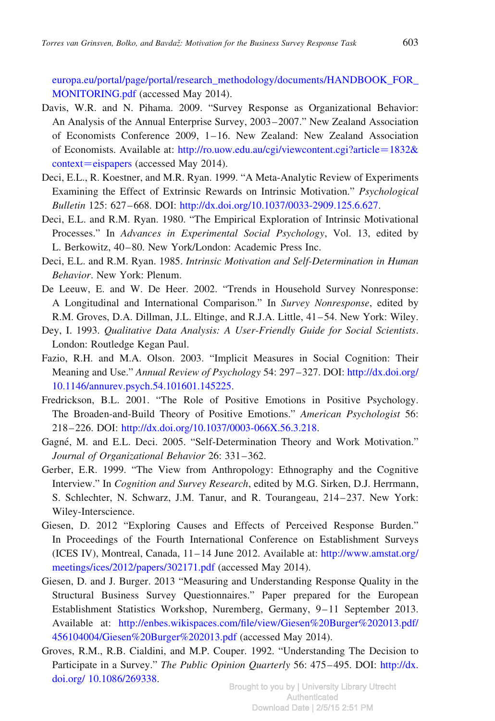[europa.eu/portal/page/portal/research\\_methodology/documents/HANDBOOK\\_FOR\\_](http://epp.eurostat.ec.europa.eu/portal/page/portal/research_methodology/documents/handbook_for_monitoring.pdf) [MONITORING.pdf](http://epp.eurostat.ec.europa.eu/portal/page/portal/research_methodology/documents/handbook_for_monitoring.pdf) (accessed May 2014).

- Davis, W.R. and N. Pihama. 2009. "Survey Response as Organizational Behavior: An Analysis of the Annual Enterprise Survey, 2003–2007." New Zealand Association of Economists Conference 2009, 1–16. New Zealand: New Zealand Association of Economists. Available at: [http://ro.uow.edu.au/cgi/viewcontent.cgi?article](http://ro.uow.edu.au/cgi/viewcontent.cgi?article=1832context=eispapers)=1832& [context](http://ro.uow.edu.au/cgi/viewcontent.cgi?article=1832context=eispapers)=[eispapers](http://ro.uow.edu.au/cgi/viewcontent.cgi?article=1832context=eispapers) (accessed May 2014).
- Deci, E.L., R. Koestner, and M.R. Ryan. 1999. "A Meta-Analytic Review of Experiments Examining the Effect of Extrinsic Rewards on Intrinsic Motivation." Psychological Bulletin 125: 627–668. DOI: [http://dx.doi.org/10.1037/0033-2909.125.6.627.](http://dx.doi.org/10.1037/0033-2909.125.6.627)
- Deci, E.L. and R.M. Ryan. 1980. "The Empirical Exploration of Intrinsic Motivational Processes." In Advances in Experimental Social Psychology, Vol. 13, edited by L. Berkowitz, 40–80. New York/London: Academic Press Inc.
- Deci, E.L. and R.M. Ryan. 1985. Intrinsic Motivation and Self-Determination in Human Behavior. New York: Plenum.
- De Leeuw, E. and W. De Heer. 2002. "Trends in Household Survey Nonresponse: A Longitudinal and International Comparison." In Survey Nonresponse, edited by R.M. Groves, D.A. Dillman, J.L. Eltinge, and R.J.A. Little, 41–54. New York: Wiley.
- Dey, I. 1993. Qualitative Data Analysis: A User-Friendly Guide for Social Scientists. London: Routledge Kegan Paul.
- Fazio, R.H. and M.A. Olson. 2003. "Implicit Measures in Social Cognition: Their Meaning and Use." Annual Review of Psychology 54: 297–327. DOI: [http://dx.doi.org/](http://dx.doi.org/10.1146/annurev.psych.54.101601.145225) [10.1146/annurev.psych.54.101601.145225](http://dx.doi.org/10.1146/annurev.psych.54.101601.145225).
- Fredrickson, B.L. 2001. "The Role of Positive Emotions in Positive Psychology. The Broaden-and-Build Theory of Positive Emotions." American Psychologist 56: 218–226. DOI: [http://dx.doi.org/10.1037/0003-066X.56.3.218.](http://dx.doi.org/10.1037/0003-066x.56.3.218)
- Gagné, M. and E.L. Deci. 2005. "Self-Determination Theory and Work Motivation." Journal of Organizational Behavior 26: 331–362.
- Gerber, E.R. 1999. "The View from Anthropology: Ethnography and the Cognitive Interview." In Cognition and Survey Research, edited by M.G. Sirken, D.J. Herrmann, S. Schlechter, N. Schwarz, J.M. Tanur, and R. Tourangeau, 214–237. New York: Wiley-Interscience.
- Giesen, D. 2012 "Exploring Causes and Effects of Perceived Response Burden." In Proceedings of the Fourth International Conference on Establishment Surveys (ICES IV), Montreal, Canada, 11–14 June 2012. Available at: [http://www.amstat.org/](http://www.amstat.org/meetings/ices/2012/papers/302171.pdf) [meetings/ices/2012/papers/302171.pdf](http://www.amstat.org/meetings/ices/2012/papers/302171.pdf) (accessed May 2014).
- Giesen, D. and J. Burger. 2013 "Measuring and Understanding Response Quality in the Structural Business Survey Questionnaires." Paper prepared for the European Establishment Statistics Workshop, Nuremberg, Germany, 9–11 September 2013. Available at: [http://enbes.wikispaces.com/file/view/Giesen%20Burger%202013.pdf/](http://enbes.wikispaces.com/file/view/giesen%20burger%202013.pdf/456104004/giesen%20burger%202013.pdf) [456104004/Giesen%20Burger%202013.pdf](http://enbes.wikispaces.com/file/view/giesen%20burger%202013.pdf/456104004/giesen%20burger%202013.pdf) (accessed May 2014).
- Groves, R.M., R.B. Cialdini, and M.P. Couper. 1992. "Understanding The Decision to Participate in a Survey." The Public Opinion Quarterly 56: 475–495. DOI: [http://dx.](http://dx.doi.org/ 10.1086/269338) [doi.org/ 10.1086/269338](http://dx.doi.org/ 10.1086/269338).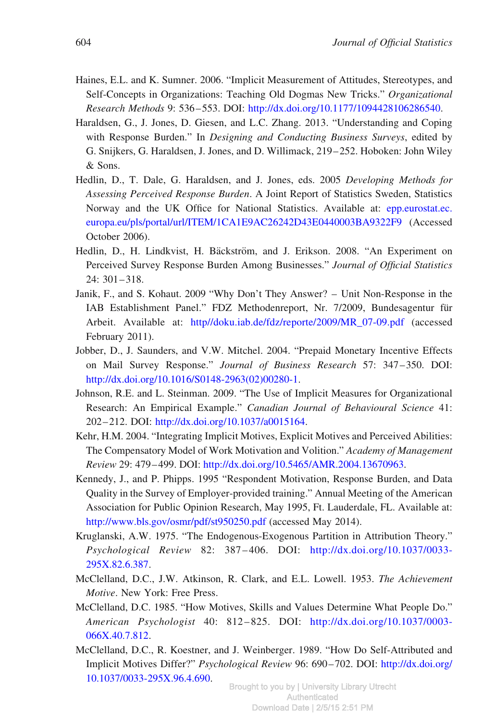- Haines, E.L. and K. Sumner. 2006. "Implicit Measurement of Attitudes, Stereotypes, and Self-Concepts in Organizations: Teaching Old Dogmas New Tricks." Organizational Research Methods 9: 536–553. DOI: <http://dx.doi.org/10.1177/1094428106286540>.
- Haraldsen, G., J. Jones, D. Giesen, and L.C. Zhang. 2013. "Understanding and Coping with Response Burden." In *Designing and Conducting Business Surveys*, edited by G. Snijkers, G. Haraldsen, J. Jones, and D. Willimack, 219–252. Hoboken: John Wiley & Sons.
- Hedlin, D., T. Dale, G. Haraldsen, and J. Jones, eds. 2005 Developing Methods for Assessing Perceived Response Burden. A Joint Report of Statistics Sweden, Statistics Norway and the UK Office for National Statistics. Available at: [epp.eurostat.ec.](epp.eurostat.ec.europa.eu/pls/portal/url/item/1ca1e9ac26242d43e0440003ba9322f9) [europa.eu/pls/portal/url/ITEM/1CA1E9AC26242D43E0440003BA9322F9](epp.eurostat.ec.europa.eu/pls/portal/url/item/1ca1e9ac26242d43e0440003ba9322f9) (Accessed October 2006).
- Hedlin, D., H. Lindkvist, H. Bäckström, and J. Erikson. 2008. "An Experiment on Perceived Survey Response Burden Among Businesses." Journal of Official Statistics 24: 301–318.
- Janik, F., and S. Kohaut. 2009 "Why Don't They Answer? Unit Non-Response in the IAB Establishment Panel." FDZ Methodenreport, Nr. 7/2009, Bundesagentur für Arbeit. Available at: [http//doku.iab.de/fdz/reporte/2009/MR\\_07-09.pdf](http//doku.iab.de/fdz/reporte/2009/mr_07-09.pdf) (accessed February 2011).
- Jobber, D., J. Saunders, and V.W. Mitchel. 2004. "Prepaid Monetary Incentive Effects on Mail Survey Response." Journal of Business Research 57: 347–350. DOI: [http://dx.doi.org/10.1016/S0148-2963\(02\)00280-1.](doi:http://dx.doi.org/10.1016/s0148-2963(02)00280-1)
- Johnson, R.E. and L. Steinman. 2009. "The Use of Implicit Measures for Organizational Research: An Empirical Example." Canadian Journal of Behavioural Science 41: 202–212. DOI: <http://dx.doi.org/10.1037/a0015164>.
- Kehr, H.M. 2004. "Integrating Implicit Motives, Explicit Motives and Perceived Abilities: The Compensatory Model of Work Motivation and Volition." Academy of Management Review 29: 479–499. DOI: <http://dx.doi.org/10.5465/AMR.2004.13670963>.
- Kennedy, J., and P. Phipps. 1995 "Respondent Motivation, Response Burden, and Data Quality in the Survey of Employer-provided training." Annual Meeting of the American Association for Public Opinion Research, May 1995, Ft. Lauderdale, FL. Available at: <http://www.bls.gov/osmr/pdf/st950250.pdf> (accessed May 2014).
- Kruglanski, A.W. 1975. "The Endogenous-Exogenous Partition in Attribution Theory." Psychological Review 82: 387–406. DOI: [http://dx.doi.org/10.1037/0033-](http://dx.doi.org/10.1037/0033-295x.82.6.387) [295X.82.6.387](http://dx.doi.org/10.1037/0033-295x.82.6.387).
- McClelland, D.C., J.W. Atkinson, R. Clark, and E.L. Lowell. 1953. The Achievement Motive. New York: Free Press.
- McClelland, D.C. 1985. "How Motives, Skills and Values Determine What People Do." American Psychologist 40: 812–825. DOI: [http://dx.doi.org/10.1037/0003-](http://dx.doi.org/10.1037/0003-066x.40.7.812) [066X.40.7.812](http://dx.doi.org/10.1037/0003-066x.40.7.812).
- McClelland, D.C., R. Koestner, and J. Weinberger. 1989. "How Do Self-Attributed and Implicit Motives Differ?" Psychological Review 96: 690–702. DOI: [http://dx.doi.org/](http://dx.doi.org/10.1037/0033-295x.96.4.690) [10.1037/0033-295X.96.4.690](http://dx.doi.org/10.1037/0033-295x.96.4.690).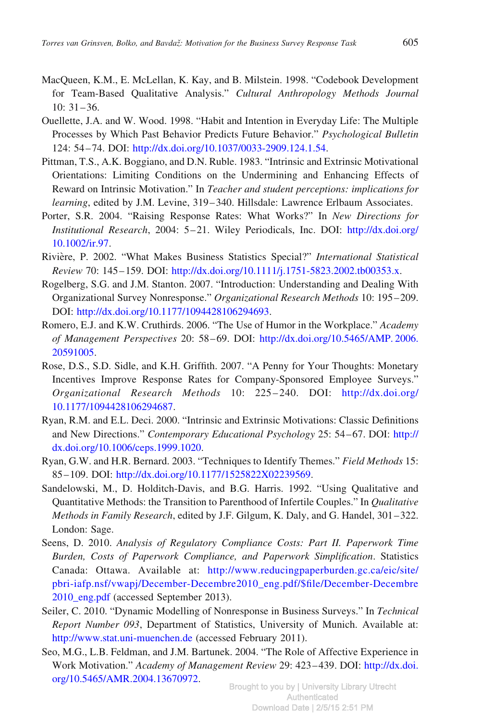- MacQueen, K.M., E. McLellan, K. Kay, and B. Milstein. 1998. "Codebook Development for Team-Based Qualitative Analysis." Cultural Anthropology Methods Journal 10: 31–36.
- Ouellette, J.A. and W. Wood. 1998. "Habit and Intention in Everyday Life: The Multiple Processes by Which Past Behavior Predicts Future Behavior." Psychological Bulletin 124: 54–74. DOI: <http://dx.doi.org/10.1037/0033-2909.124.1.54>.
- Pittman, T.S., A.K. Boggiano, and D.N. Ruble. 1983. "Intrinsic and Extrinsic Motivational Orientations: Limiting Conditions on the Undermining and Enhancing Effects of Reward on Intrinsic Motivation." In Teacher and student perceptions: implications for learning, edited by J.M. Levine, 319-340. Hillsdale: Lawrence Erlbaum Associates.
- Porter, S.R. 2004. "Raising Response Rates: What Works?" In New Directions for Institutional Research, 2004: 5–21. Wiley Periodicals, Inc. DOI: [http://dx.doi.org/](http://dx.doi.org/10.1002/ir.97) [10.1002/ir.97.](http://dx.doi.org/10.1002/ir.97)
- Rivière, P. 2002. "What Makes Business Statistics Special?" International Statistical Review 70: 145–159. DOI: <http://dx.doi.org/10.1111/j.1751-5823.2002.tb00353.x>.
- Rogelberg, S.G. and J.M. Stanton. 2007. "Introduction: Understanding and Dealing With Organizational Survey Nonresponse." Organizational Research Methods 10: 195–209. DOI: <http://dx.doi.org/10.1177/1094428106294693>.
- Romero, E.J. and K.W. Cruthirds. 2006. "The Use of Humor in the Workplace." Academy of Management Perspectives 20: 58–69. DOI: [http://dx.doi.org/10.5465/AMP. 2006.](http://dx.doi.org/10.5465/AMP.2006.20591005) [20591005.](http://dx.doi.org/10.5465/AMP.2006.20591005)
- Rose, D.S., S.D. Sidle, and K.H. Griffith. 2007. "A Penny for Your Thoughts: Monetary Incentives Improve Response Rates for Company-Sponsored Employee Surveys." Organizational Research Methods 10: 225–240. DOI: [http://dx.doi.org/](http://dx.doi.org/ 10.1177/1094428106294687) [10.1177/1094428106294687.](http://dx.doi.org/ 10.1177/1094428106294687)
- Ryan, R.M. and E.L. Deci. 2000. "Intrinsic and Extrinsic Motivations: Classic Definitions and New Directions." Contemporary Educational Psychology 25: 54–67. DOI: [http://](http://dx.doi.org/10.1006/ceps.1999.1020) [dx.doi.org/10.1006/ceps.1999.1020](http://dx.doi.org/10.1006/ceps.1999.1020).
- Ryan, G.W. and H.R. Bernard. 2003. "Techniques to Identify Themes." Field Methods 15: 85–109. DOI: [http://dx.doi.org/10.1177/1525822X02239569.](http://dx.doi.org/10.1177/1525822x02239569)
- Sandelowski, M., D. Holditch-Davis, and B.G. Harris. 1992. "Using Qualitative and Quantitative Methods: the Transition to Parenthood of Infertile Couples." In Qualitative Methods in Family Research, edited by J.F. Gilgum, K. Daly, and G. Handel, 301–322. London: Sage.
- Seens, D. 2010. Analysis of Regulatory Compliance Costs: Part II. Paperwork Time Burden, Costs of Paperwork Compliance, and Paperwork Simplification. Statistics Canada: Ottawa. Available at: [http://www.reducingpaperburden.gc.ca/eic/site/](http://www.reducingpaperburden.gc.ca/eic/site/pbri-iafp.nsf/vwapj/december-decembre2010_eng.pdf/$file/december-decembre2010_eng.pdf) [pbri-iafp.nsf/vwapj/December-Decembre2010\\_eng.pdf/\\$file/December-Decembre](http://www.reducingpaperburden.gc.ca/eic/site/pbri-iafp.nsf/vwapj/december-decembre2010_eng.pdf/$file/december-decembre2010_eng.pdf) [2010\\_eng.pdf](http://www.reducingpaperburden.gc.ca/eic/site/pbri-iafp.nsf/vwapj/december-decembre2010_eng.pdf/$file/december-decembre2010_eng.pdf) (accessed September 2013).
- Seiler, C. 2010. "Dynamic Modelling of Nonresponse in Business Surveys." In Technical Report Number 093, Department of Statistics, University of Munich. Available at: <http://www.stat.uni-muenchen.de> (accessed February 2011).
- Seo, M.G., L.B. Feldman, and J.M. Bartunek. 2004. "The Role of Affective Experience in Work Motivation." Academy of Management Review 29: 423–439. DOI: [http://dx.doi.](http://dx.doi.org/10.5465/amr.2004.13670972) [org/10.5465/AMR.2004.13670972.](http://dx.doi.org/10.5465/amr.2004.13670972)